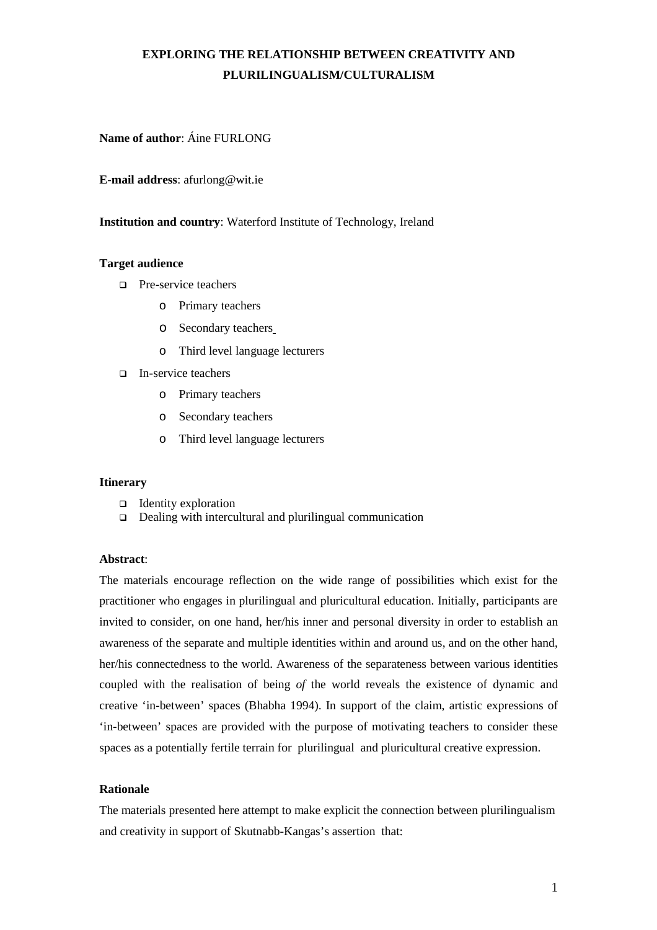# **EXPLORING THE RELATIONSHIP BETWEEN CREATIVITY AND PLURILINGUALISM/CULTURALISM**

**Name of author**: Áine FURLONG

### **E-mail address**: afurlong@wit.ie

### **Institution and country**: Waterford Institute of Technology, Ireland

### **Target audience**

- □ Pre-service teachers
	- o Primary teachers
	- o Secondary teachers
	- o Third level language lecturers
- $\Box$  In-service teachers
	- o Primary teachers
	- o Secondary teachers
	- o Third level language lecturers

### **Itinerary**

- $\Box$  Identity exploration
- $\Box$  Dealing with intercultural and plurilingual communication

### **Abstract**:

The materials encourage reflection on the wide range of possibilities which exist for the practitioner who engages in plurilingual and pluricultural education. Initially, participants are invited to consider, on one hand, her/his inner and personal diversity in order to establish an awareness of the separate and multiple identities within and around us, and on the other hand, her/his connectedness to the world. Awareness of the separateness between various identities coupled with the realisation of being *of* the world reveals the existence of dynamic and creative 'in-between' spaces (Bhabha 1994). In support of the claim, artistic expressions of 'in-between' spaces are provided with the purpose of motivating teachers to consider these spaces as a potentially fertile terrain for plurilingual and pluricultural creative expression.

### **Rationale**

The materials presented here attempt to make explicit the connection between plurilingualism and creativity in support of Skutnabb-Kangas's assertion that: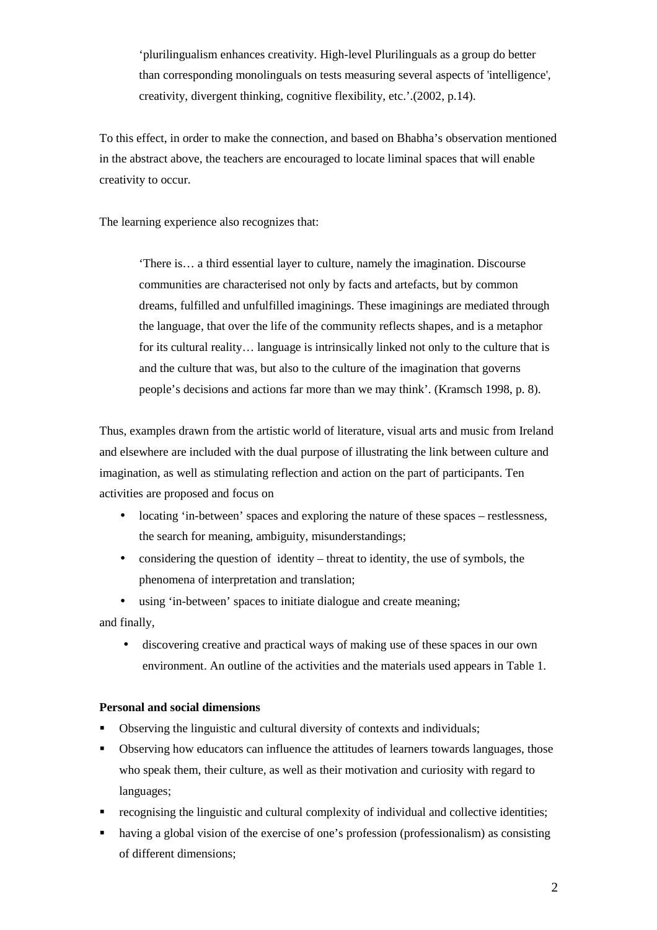'plurilingualism enhances creativity. High-level Plurilinguals as a group do better than corresponding monolinguals on tests measuring several aspects of 'intelligence', creativity, divergent thinking, cognitive flexibility, etc.'.(2002, p.14).

To this effect, in order to make the connection, and based on Bhabha's observation mentioned in the abstract above, the teachers are encouraged to locate liminal spaces that will enable creativity to occur.

The learning experience also recognizes that:

'There is… a third essential layer to culture, namely the imagination. Discourse communities are characterised not only by facts and artefacts, but by common dreams, fulfilled and unfulfilled imaginings. These imaginings are mediated through the language, that over the life of the community reflects shapes, and is a metaphor for its cultural reality… language is intrinsically linked not only to the culture that is and the culture that was, but also to the culture of the imagination that governs people's decisions and actions far more than we may think'. (Kramsch 1998, p. 8).

Thus, examples drawn from the artistic world of literature, visual arts and music from Ireland and elsewhere are included with the dual purpose of illustrating the link between culture and imagination, as well as stimulating reflection and action on the part of participants. Ten activities are proposed and focus on

- locating 'in-between' spaces and exploring the nature of these spaces restlessness, the search for meaning, ambiguity, misunderstandings;
- considering the question of identity threat to identity, the use of symbols, the phenomena of interpretation and translation;

• using 'in-between' spaces to initiate dialogue and create meaning; and finally,

• discovering creative and practical ways of making use of these spaces in our own environment. An outline of the activities and the materials used appears in Table 1.

# **Personal and social dimensions**

- -Observing the linguistic and cultural diversity of contexts and individuals;
- - Observing how educators can influence the attitudes of learners towards languages, those who speak them, their culture, as well as their motivation and curiosity with regard to languages;
- recognising the linguistic and cultural complexity of individual and collective identities;
- having a global vision of the exercise of one's profession (professionalism) as consisting of different dimensions;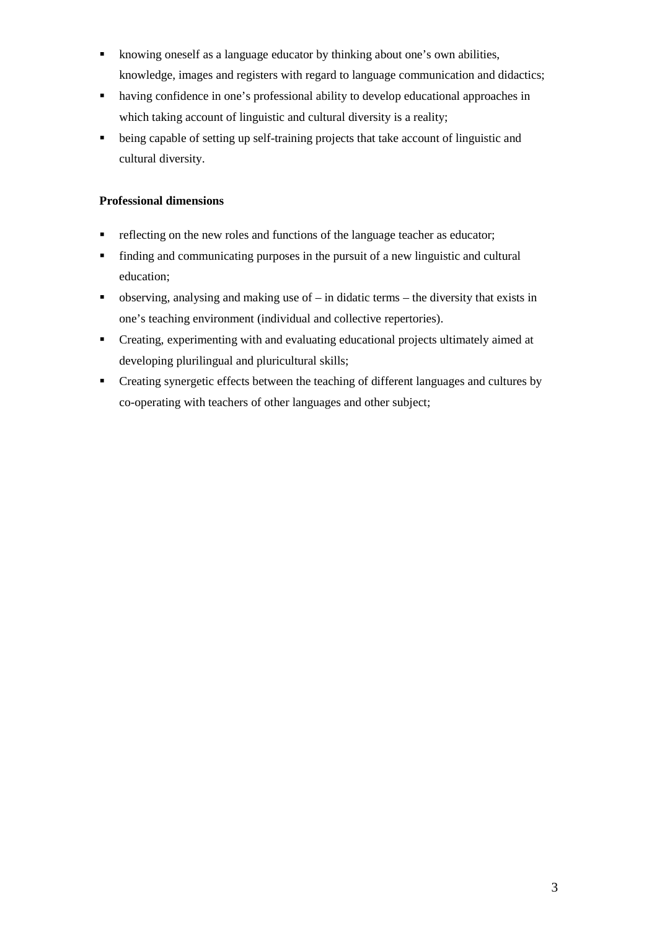- knowing oneself as a language educator by thinking about one's own abilities, knowledge, images and registers with regard to language communication and didactics;
- having confidence in one's professional ability to develop educational approaches in which taking account of linguistic and cultural diversity is a reality;
- being capable of setting up self-training projects that take account of linguistic and cultural diversity.

# **Professional dimensions**

- reflecting on the new roles and functions of the language teacher as educator;
- finding and communicating purposes in the pursuit of a new linguistic and cultural education;
- observing, analysing and making use of in didatic terms the diversity that exists in one's teaching environment (individual and collective repertories).
- Creating, experimenting with and evaluating educational projects ultimately aimed at developing plurilingual and pluricultural skills;
- Creating synergetic effects between the teaching of different languages and cultures by co-operating with teachers of other languages and other subject;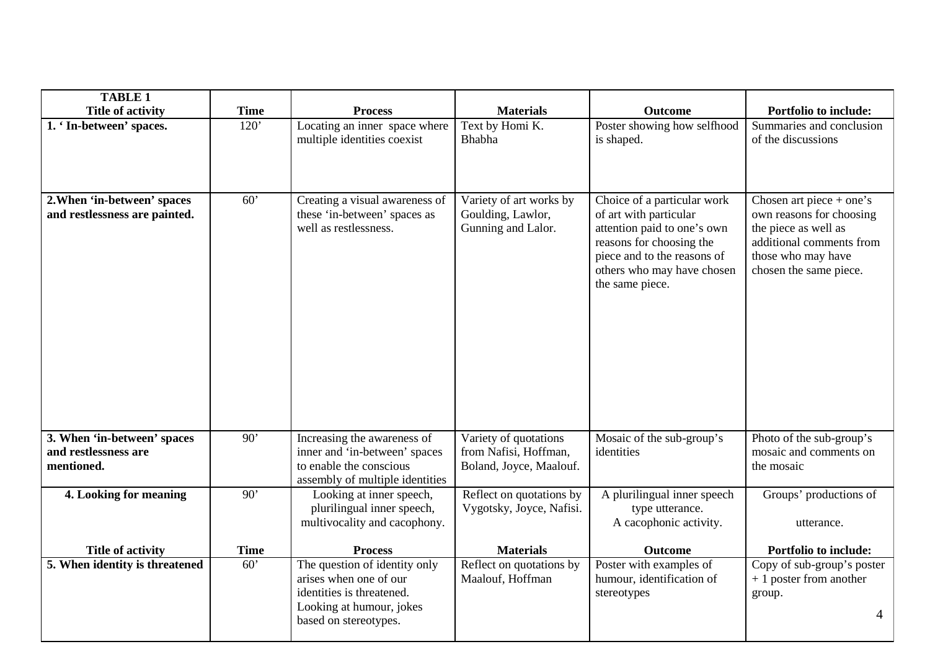| <b>TABLE 1</b>                                                    |             |                                                                                                                                           |                                                                           |                                                                                                                                                                                                  |                                                                                                                                                            |
|-------------------------------------------------------------------|-------------|-------------------------------------------------------------------------------------------------------------------------------------------|---------------------------------------------------------------------------|--------------------------------------------------------------------------------------------------------------------------------------------------------------------------------------------------|------------------------------------------------------------------------------------------------------------------------------------------------------------|
| <b>Title of activity</b>                                          | <b>Time</b> | <b>Process</b>                                                                                                                            | <b>Materials</b>                                                          | <b>Outcome</b>                                                                                                                                                                                   | <b>Portfolio to include:</b>                                                                                                                               |
| 1. 'In-between' spaces.                                           | 120'        | Locating an inner space where<br>multiple identities coexist                                                                              | Text by Homi K.<br><b>Bhabha</b>                                          | Poster showing how selfhood<br>is shaped.                                                                                                                                                        | Summaries and conclusion<br>of the discussions                                                                                                             |
| 2. When 'in-between' spaces<br>and restlessness are painted.      | 60'         | Creating a visual awareness of<br>these 'in-between' spaces as<br>well as restlessness.                                                   | Variety of art works by<br>Goulding, Lawlor,<br>Gunning and Lalor.        | Choice of a particular work<br>of art with particular<br>attention paid to one's own<br>reasons for choosing the<br>piece and to the reasons of<br>others who may have chosen<br>the same piece. | Chosen art piece $+$ one's<br>own reasons for choosing<br>the piece as well as<br>additional comments from<br>those who may have<br>chosen the same piece. |
| 3. When 'in-between' spaces<br>and restlessness are<br>mentioned. | 90'         | Increasing the awareness of<br>inner and 'in-between' spaces<br>to enable the conscious<br>assembly of multiple identities                | Variety of quotations<br>from Nafisi, Hoffman,<br>Boland, Joyce, Maalouf. | Mosaic of the sub-group's<br>identities                                                                                                                                                          | Photo of the sub-group's<br>mosaic and comments on<br>the mosaic                                                                                           |
| 4. Looking for meaning                                            | 90'         | Looking at inner speech,<br>plurilingual inner speech,<br>multivocality and cacophony.                                                    | Reflect on quotations by<br>Vygotsky, Joyce, Nafisi.                      | A plurilingual inner speech<br>type utterance.<br>A cacophonic activity.                                                                                                                         | Groups' productions of<br>utterance.                                                                                                                       |
| <b>Title of activity</b>                                          | <b>Time</b> | <b>Process</b>                                                                                                                            | <b>Materials</b>                                                          | <b>Outcome</b>                                                                                                                                                                                   | <b>Portfolio to include:</b>                                                                                                                               |
| 5. When identity is threatened                                    | 60'         | The question of identity only<br>arises when one of our<br>identities is threatened.<br>Looking at humour, jokes<br>based on stereotypes. | Reflect on quotations by<br>Maalouf, Hoffman                              | Poster with examples of<br>humour, identification of<br>stereotypes                                                                                                                              | Copy of sub-group's poster<br>$+1$ poster from another<br>group.<br>4                                                                                      |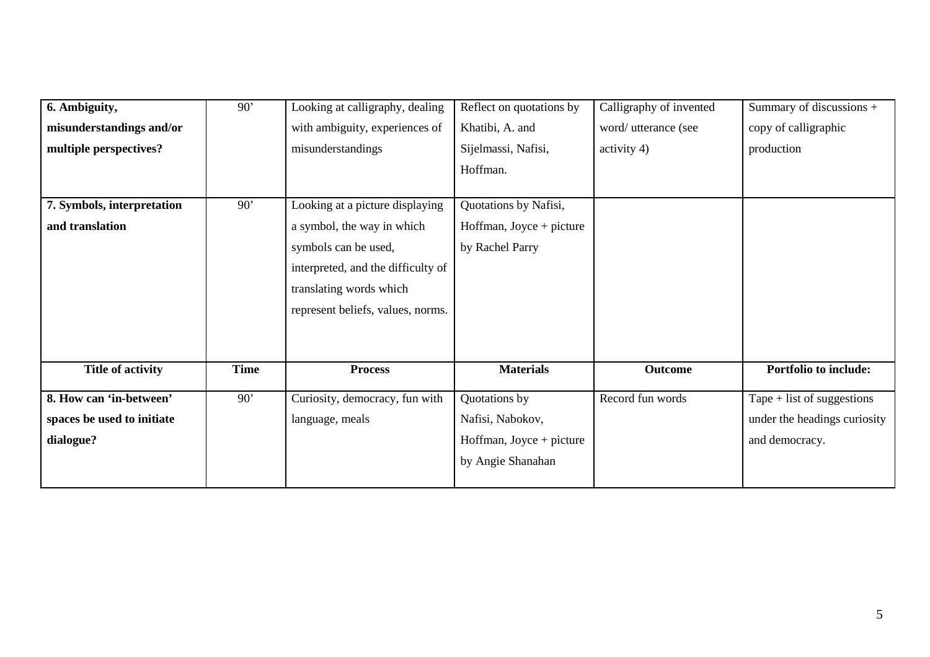| 6. Ambiguity,              | 90'         | Looking at calligraphy, dealing    | Reflect on quotations by | Calligraphy of invented | Summary of discussions +     |
|----------------------------|-------------|------------------------------------|--------------------------|-------------------------|------------------------------|
| misunderstandings and/or   |             | with ambiguity, experiences of     | Khatibi, A. and          | word/ utterance (see    | copy of calligraphic         |
| multiple perspectives?     |             | misunderstandings                  | Sijelmassi, Nafisi,      | activity 4)             | production                   |
|                            |             |                                    | Hoffman.                 |                         |                              |
|                            |             |                                    |                          |                         |                              |
| 7. Symbols, interpretation | 90'         | Looking at a picture displaying    | Quotations by Nafisi,    |                         |                              |
| and translation            |             | a symbol, the way in which         | Hoffman, Joyce + picture |                         |                              |
|                            |             | symbols can be used,               | by Rachel Parry          |                         |                              |
|                            |             | interpreted, and the difficulty of |                          |                         |                              |
|                            |             | translating words which            |                          |                         |                              |
|                            |             | represent beliefs, values, norms.  |                          |                         |                              |
|                            |             |                                    |                          |                         |                              |
|                            |             |                                    |                          |                         |                              |
| <b>Title of activity</b>   | <b>Time</b> | <b>Process</b>                     | <b>Materials</b>         | <b>Outcome</b>          | Portfolio to include:        |
| 8. How can 'in-between'    | 90'         | Curiosity, democracy, fun with     | Quotations by            | Record fun words        | Tape $+$ list of suggestions |
| spaces be used to initiate |             | language, meals                    | Nafisi, Nabokov,         |                         | under the headings curiosity |
| dialogue?                  |             |                                    | Hoffman, Joyce + picture |                         | and democracy.               |
|                            |             |                                    | by Angie Shanahan        |                         |                              |
|                            |             |                                    |                          |                         |                              |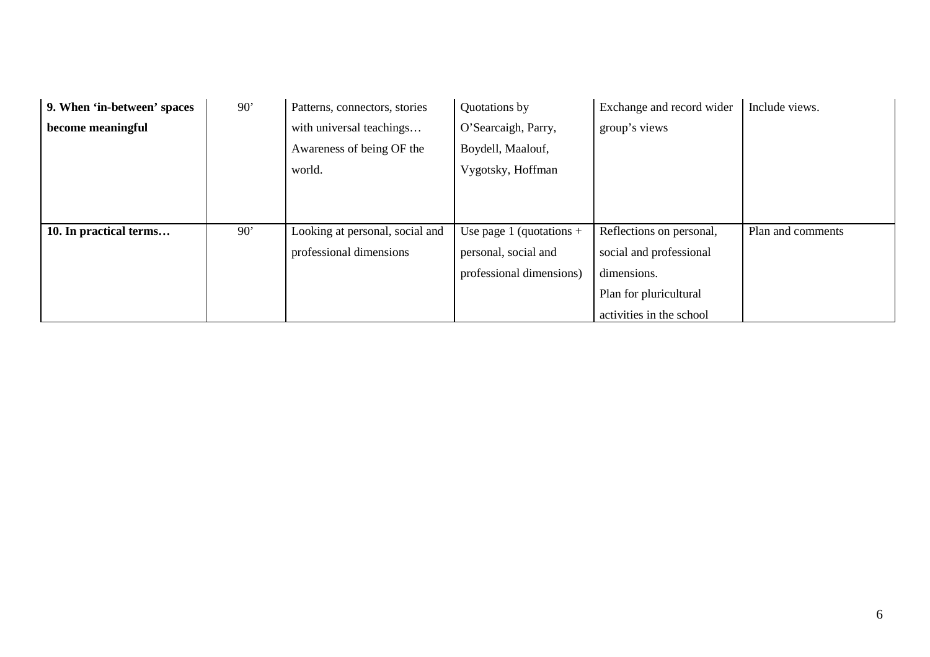| 9. When 'in-between' spaces | 90'          | Patterns, connectors, stories   | Quotations by              | Exchange and record wider | Include views.    |
|-----------------------------|--------------|---------------------------------|----------------------------|---------------------------|-------------------|
| become meaningful           |              | with universal teachings        | O'Searcaigh, Parry,        | group's views             |                   |
|                             |              | Awareness of being OF the       | Boydell, Maalouf,          |                           |                   |
|                             |              | world.                          | Vygotsky, Hoffman          |                           |                   |
|                             |              |                                 |                            |                           |                   |
|                             |              |                                 |                            |                           |                   |
| 10. In practical terms      | $90^{\circ}$ | Looking at personal, social and | Use page 1 (quotations $+$ | Reflections on personal,  | Plan and comments |
|                             |              | professional dimensions         | personal, social and       | social and professional   |                   |
|                             |              |                                 | professional dimensions)   | dimensions.               |                   |
|                             |              |                                 |                            | Plan for pluricultural    |                   |
|                             |              |                                 |                            | activities in the school  |                   |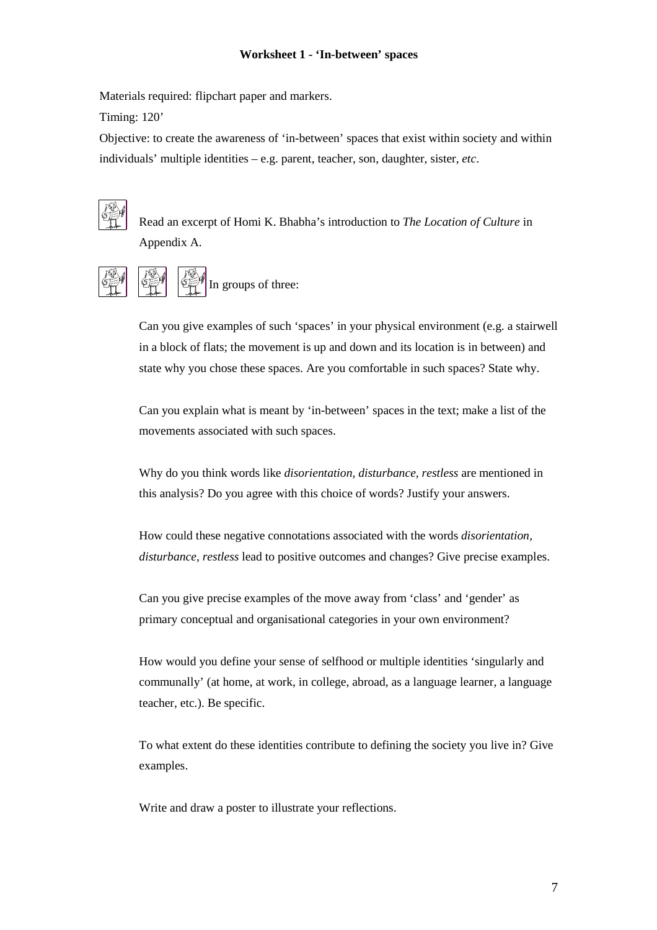### **Worksheet 1 - 'In-between' spaces**

Materials required: flipchart paper and markers.

Timing: 120'

Objective: to create the awareness of 'in-between' spaces that exist within society and within individuals' multiple identities – e.g. parent, teacher, son, daughter, sister, *etc*.



Read an excerpt of Homi K. Bhabha's introduction to *The Location of Culture* in Appendix A.



In groups of three:

Can you give examples of such 'spaces' in your physical environment (e.g. a stairwell in a block of flats; the movement is up and down and its location is in between) and state why you chose these spaces. Are you comfortable in such spaces? State why.

Can you explain what is meant by 'in-between' spaces in the text; make a list of the movements associated with such spaces.

Why do you think words like *disorientation, disturbance, restless* are mentioned in this analysis? Do you agree with this choice of words? Justify your answers.

How could these negative connotations associated with the words *disorientation, disturbance, restless* lead to positive outcomes and changes? Give precise examples.

Can you give precise examples of the move away from 'class' and 'gender' as primary conceptual and organisational categories in your own environment?

How would you define your sense of selfhood or multiple identities 'singularly and communally' (at home, at work, in college, abroad, as a language learner, a language teacher, etc.). Be specific.

To what extent do these identities contribute to defining the society you live in? Give examples.

Write and draw a poster to illustrate your reflections.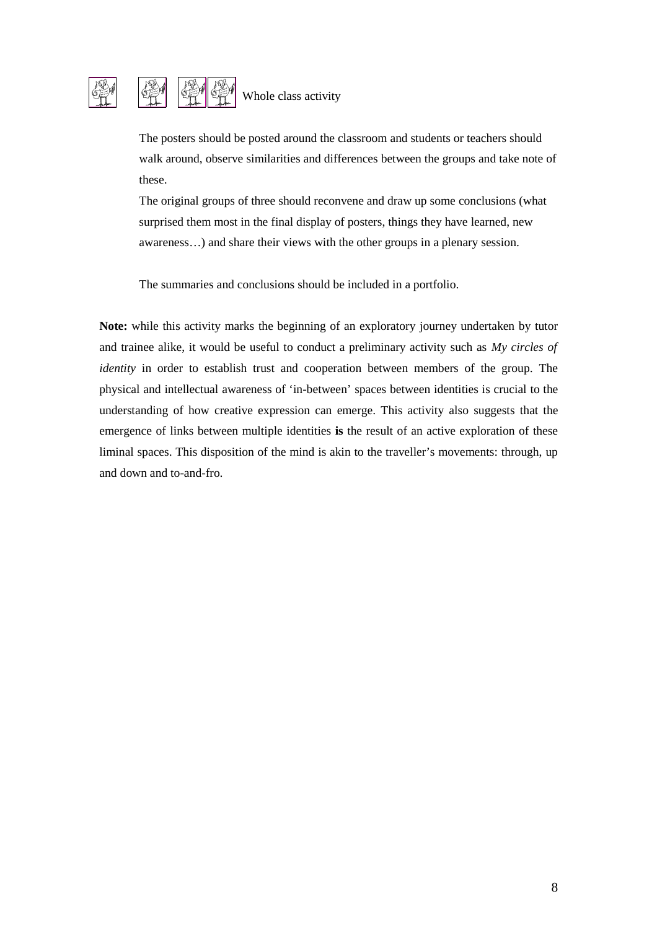

The posters should be posted around the classroom and students or teachers should walk around, observe similarities and differences between the groups and take note of these.

The original groups of three should reconvene and draw up some conclusions (what surprised them most in the final display of posters, things they have learned, new awareness…) and share their views with the other groups in a plenary session.

The summaries and conclusions should be included in a portfolio.

**Note:** while this activity marks the beginning of an exploratory journey undertaken by tutor and trainee alike, it would be useful to conduct a preliminary activity such as *My circles of identity* in order to establish trust and cooperation between members of the group. The physical and intellectual awareness of 'in-between' spaces between identities is crucial to the understanding of how creative expression can emerge. This activity also suggests that the emergence of links between multiple identities **is** the result of an active exploration of these liminal spaces. This disposition of the mind is akin to the traveller's movements: through, up and down and to-and-fro.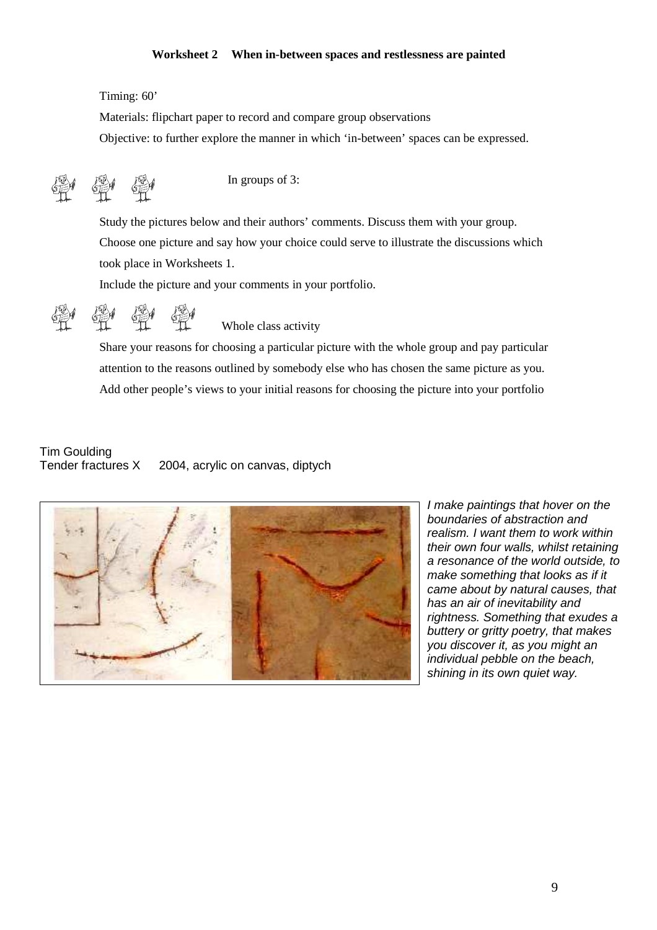### **Worksheet 2 When in-between spaces and restlessness are painted**

Timing: 60'

Materials: flipchart paper to record and compare group observations Objective: to further explore the manner in which 'in-between' spaces can be expressed.

In groups of 3:

Study the pictures below and their authors' comments. Discuss them with your group. Choose one picture and say how your choice could serve to illustrate the discussions which took place in Worksheets 1.

Include the picture and your comments in your portfolio.



Whole class activity

Share your reasons for choosing a particular picture with the whole group and pay particular attention to the reasons outlined by somebody else who has chosen the same picture as you. Add other people's views to your initial reasons for choosing the picture into your portfolio

# Tim Goulding Tender fractures X 2004, acrylic on canvas, diptych



I make paintings that hover on the boundaries of abstraction and realism. I want them to work within their own four walls, whilst retaining a resonance of the world outside, to make something that looks as if it came about by natural causes, that has an air of inevitability and rightness. Something that exudes a buttery or gritty poetry, that makes you discover it, as you might an individual pebble on the beach, shining in its own quiet way.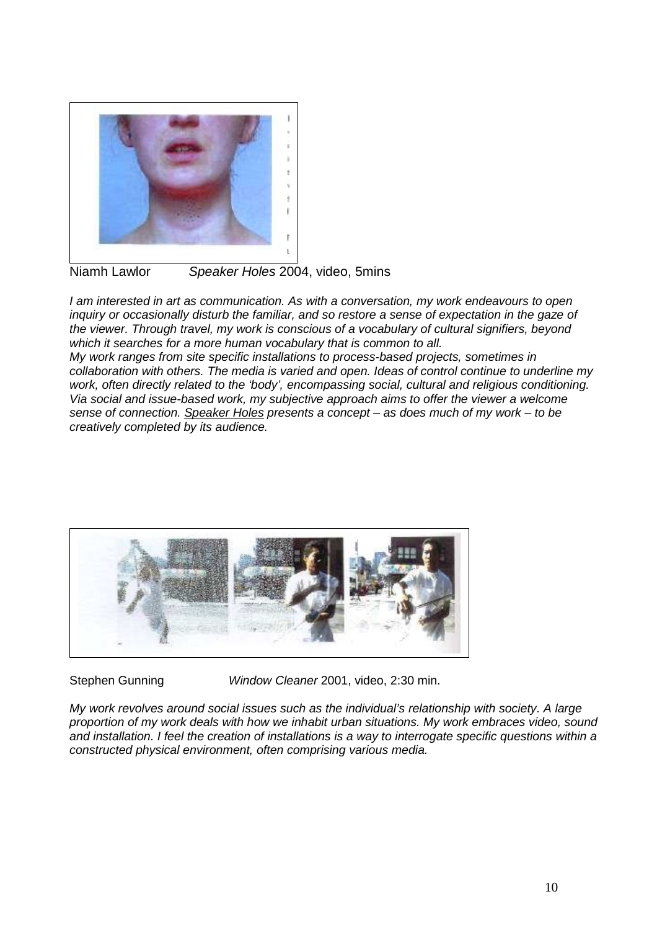

Niamh Lawlor Speaker Holes 2004, video, 5mins

I am interested in art as communication. As with a conversation, my work endeavours to open inquiry or occasionally disturb the familiar, and so restore a sense of expectation in the gaze of the viewer. Through travel, my work is conscious of a vocabulary of cultural signifiers, beyond which it searches for a more human vocabulary that is common to all.

My work ranges from site specific installations to process-based projects, sometimes in collaboration with others. The media is varied and open. Ideas of control continue to underline my work, often directly related to the 'body', encompassing social, cultural and religious conditioning. Via social and issue-based work, my subjective approach aims to offer the viewer a welcome sense of connection. Speaker Holes presents a concept – as does much of my work – to be creatively completed by its audience.



Stephen Gunning Window Cleaner 2001, video, 2:30 min.

My work revolves around social issues such as the individual's relationship with society. A large proportion of my work deals with how we inhabit urban situations. My work embraces video, sound and installation. I feel the creation of installations is a way to interrogate specific questions within a constructed physical environment, often comprising various media.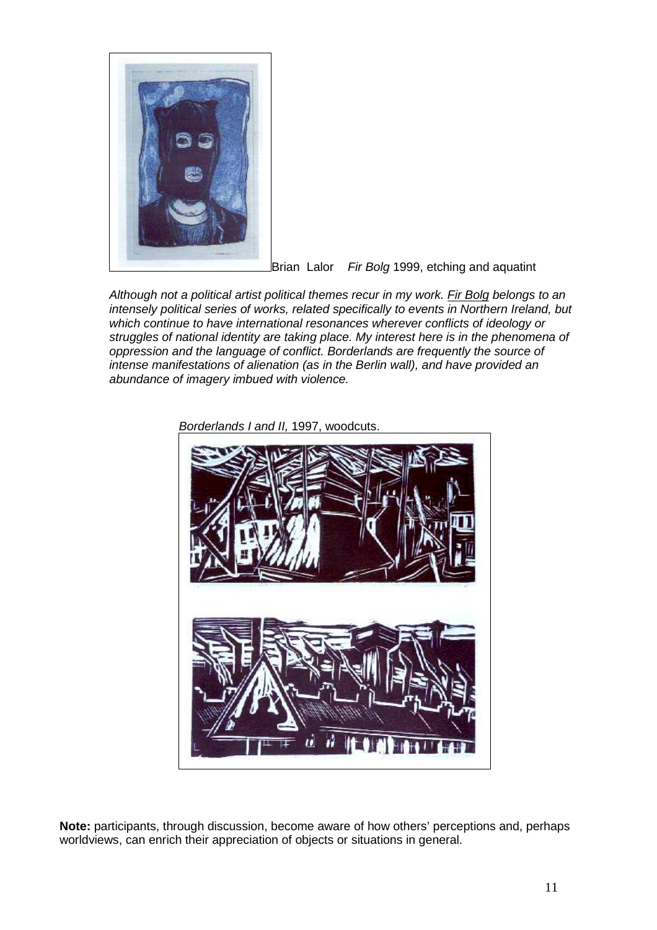

Brian Lalor Fir Bolg 1999, etching and aquatint

Although not a political artist political themes recur in my work. Fir Bolg belongs to an intensely political series of works, related specifically to events in Northern Ireland, but which continue to have international resonances wherever conflicts of ideology or struggles of national identity are taking place. My interest here is in the phenomena of oppression and the language of conflict. Borderlands are frequently the source of intense manifestations of alienation (as in the Berlin wall), and have provided an abundance of imagery imbued with violence.

Borderlands I and II, 1997, woodcuts.



**Note:** participants, through discussion, become aware of how others' perceptions and, perhaps worldviews, can enrich their appreciation of objects or situations in general.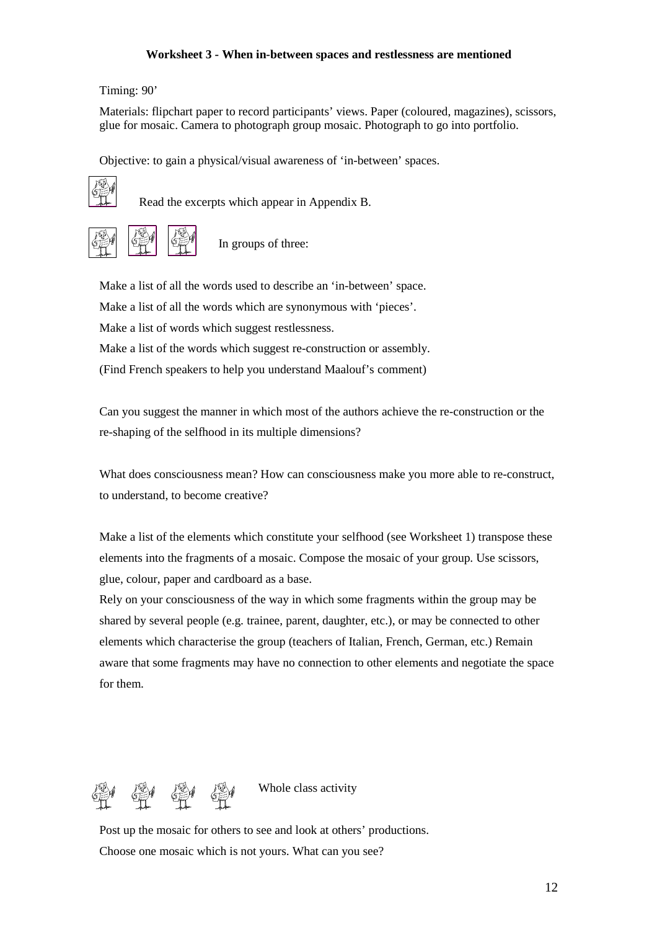# **Worksheet 3 - When in-between spaces and restlessness are mentioned**

# Timing: 90'

Materials: flipchart paper to record participants' views. Paper (coloured, magazines), scissors, glue for mosaic. Camera to photograph group mosaic. Photograph to go into portfolio.

Objective: to gain a physical/visual awareness of 'in-between' spaces.



Read the excerpts which appear in Appendix B.





In groups of three:

Make a list of all the words used to describe an 'in-between' space. Make a list of all the words which are synonymous with 'pieces'. Make a list of words which suggest restlessness. Make a list of the words which suggest re-construction or assembly. (Find French speakers to help you understand Maalouf's comment)

Can you suggest the manner in which most of the authors achieve the re-construction or the re-shaping of the selfhood in its multiple dimensions?

What does consciousness mean? How can consciousness make you more able to re-construct, to understand, to become creative?

Make a list of the elements which constitute your selfhood (see Worksheet 1) transpose these elements into the fragments of a mosaic. Compose the mosaic of your group. Use scissors, glue, colour, paper and cardboard as a base.

Rely on your consciousness of the way in which some fragments within the group may be shared by several people (e.g. trainee, parent, daughter, etc.), or may be connected to other elements which characterise the group (teachers of Italian, French, German, etc.) Remain aware that some fragments may have no connection to other elements and negotiate the space for them.



Post up the mosaic for others to see and look at others' productions. Choose one mosaic which is not yours. What can you see?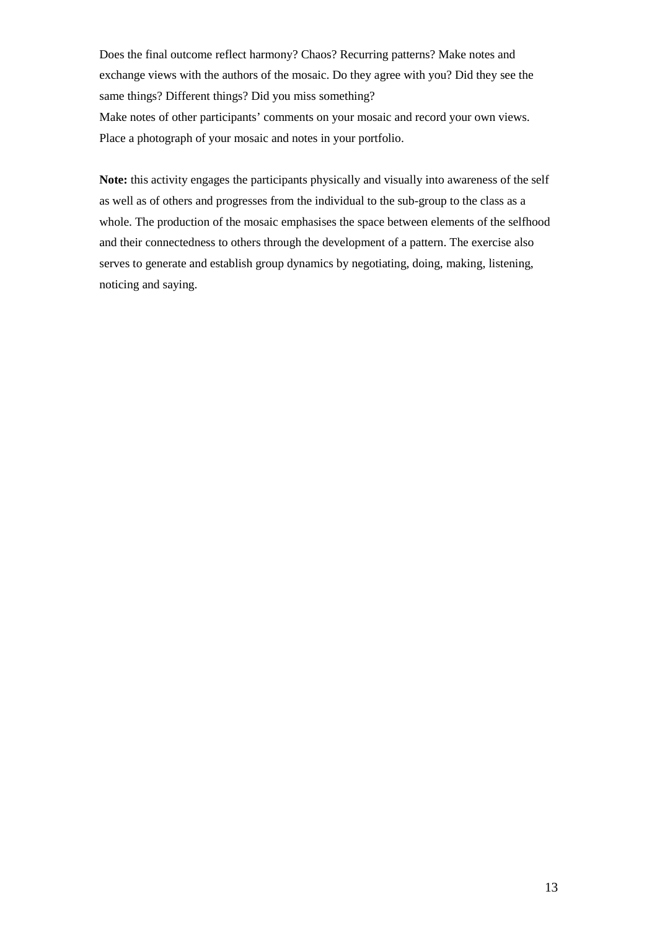Does the final outcome reflect harmony? Chaos? Recurring patterns? Make notes and exchange views with the authors of the mosaic. Do they agree with you? Did they see the same things? Different things? Did you miss something?

Make notes of other participants' comments on your mosaic and record your own views. Place a photograph of your mosaic and notes in your portfolio.

**Note:** this activity engages the participants physically and visually into awareness of the self as well as of others and progresses from the individual to the sub-group to the class as a whole. The production of the mosaic emphasises the space between elements of the selfhood and their connectedness to others through the development of a pattern. The exercise also serves to generate and establish group dynamics by negotiating, doing, making, listening, noticing and saying.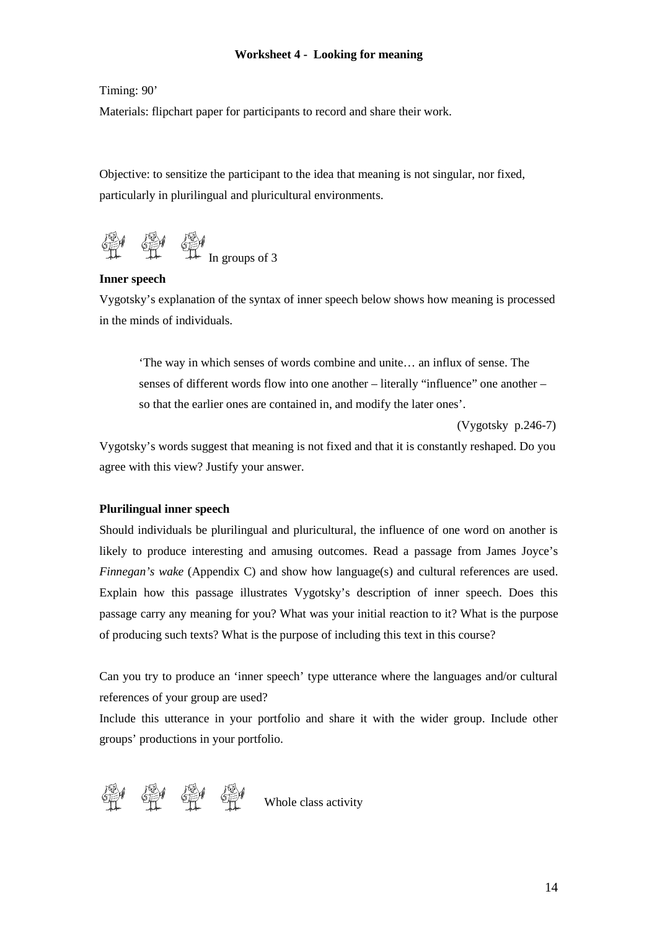### **Worksheet 4 - Looking for meaning**

Timing: 90'

Materials: flipchart paper for participants to record and share their work.

Objective: to sensitize the participant to the idea that meaning is not singular, nor fixed, particularly in plurilingual and pluricultural environments.



### **Inner speech**

Vygotsky's explanation of the syntax of inner speech below shows how meaning is processed in the minds of individuals.

'The way in which senses of words combine and unite… an influx of sense. The senses of different words flow into one another – literally "influence" one another – so that the earlier ones are contained in, and modify the later ones'.

(Vygotsky p.246-7)

Vygotsky's words suggest that meaning is not fixed and that it is constantly reshaped. Do you agree with this view? Justify your answer.

### **Plurilingual inner speech**

Should individuals be plurilingual and pluricultural, the influence of one word on another is likely to produce interesting and amusing outcomes. Read a passage from James Joyce's *Finnegan's wake* (Appendix C) and show how language(s) and cultural references are used. Explain how this passage illustrates Vygotsky's description of inner speech. Does this passage carry any meaning for you? What was your initial reaction to it? What is the purpose of producing such texts? What is the purpose of including this text in this course?

Can you try to produce an 'inner speech' type utterance where the languages and/or cultural references of your group are used?

Include this utterance in your portfolio and share it with the wider group. Include other groups' productions in your portfolio.

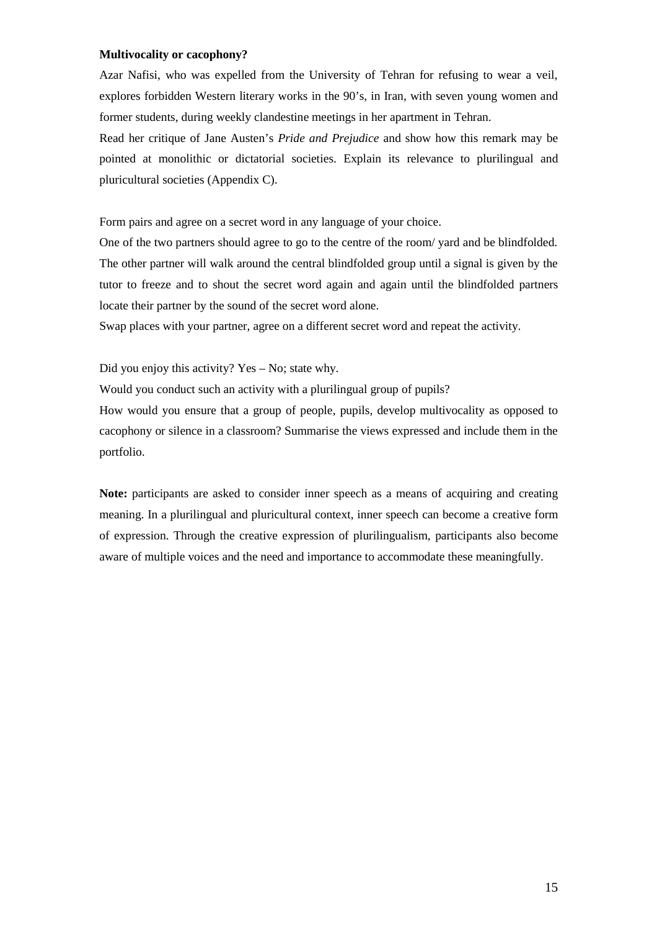### **Multivocality or cacophony?**

Azar Nafisi, who was expelled from the University of Tehran for refusing to wear a veil, explores forbidden Western literary works in the 90's, in Iran, with seven young women and former students, during weekly clandestine meetings in her apartment in Tehran.

Read her critique of Jane Austen's *Pride and Prejudice* and show how this remark may be pointed at monolithic or dictatorial societies. Explain its relevance to plurilingual and pluricultural societies (Appendix C).

Form pairs and agree on a secret word in any language of your choice.

One of the two partners should agree to go to the centre of the room/ yard and be blindfolded. The other partner will walk around the central blindfolded group until a signal is given by the tutor to freeze and to shout the secret word again and again until the blindfolded partners locate their partner by the sound of the secret word alone.

Swap places with your partner, agree on a different secret word and repeat the activity.

Did you enjoy this activity? Yes – No; state why.

Would you conduct such an activity with a plurilingual group of pupils?

How would you ensure that a group of people, pupils, develop multivocality as opposed to cacophony or silence in a classroom? Summarise the views expressed and include them in the portfolio.

**Note:** participants are asked to consider inner speech as a means of acquiring and creating meaning. In a plurilingual and pluricultural context, inner speech can become a creative form of expression. Through the creative expression of plurilingualism, participants also become aware of multiple voices and the need and importance to accommodate these meaningfully.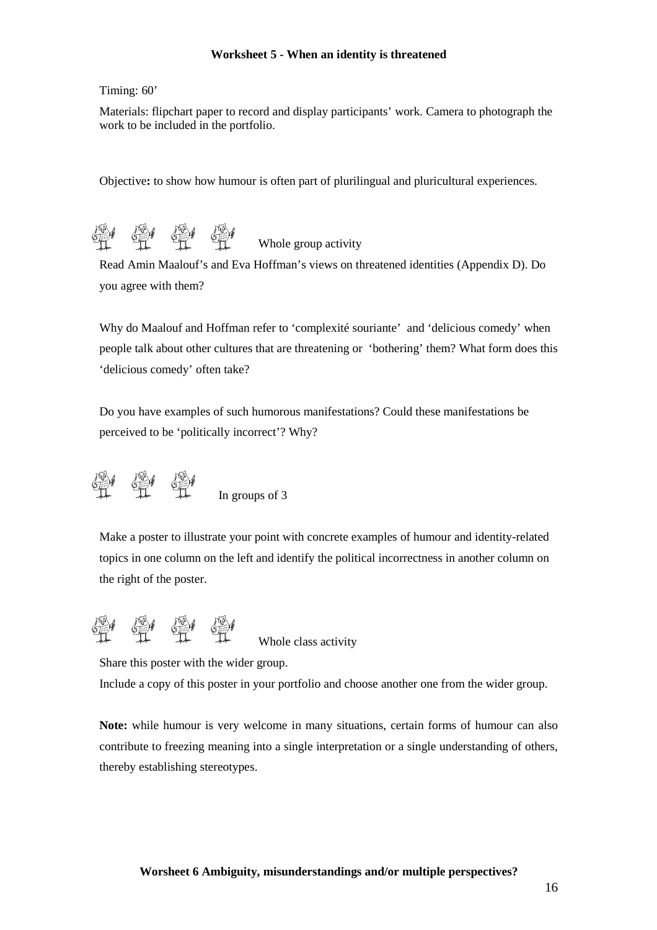### **Worksheet 5 - When an identity is threatened**

### Timing: 60'

Materials: flipchart paper to record and display participants' work. Camera to photograph the work to be included in the portfolio.

Objective**:** to show how humour is often part of plurilingual and pluricultural experiences.



Read Amin Maalouf's and Eva Hoffman's views on threatened identities (Appendix D). Do you agree with them?

Why do Maalouf and Hoffman refer to 'complexité souriante' and 'delicious comedy' when people talk about other cultures that are threatening or 'bothering' them? What form does this 'delicious comedy' often take?

Do you have examples of such humorous manifestations? Could these manifestations be perceived to be 'politically incorrect'? Why?



Make a poster to illustrate your point with concrete examples of humour and identity-related topics in one column on the left and identify the political incorrectness in another column on the right of the poster.

单单单

Whole class activity

Share this poster with the wider group.

Include a copy of this poster in your portfolio and choose another one from the wider group.

**Note:** while humour is very welcome in many situations, certain forms of humour can also contribute to freezing meaning into a single interpretation or a single understanding of others, thereby establishing stereotypes.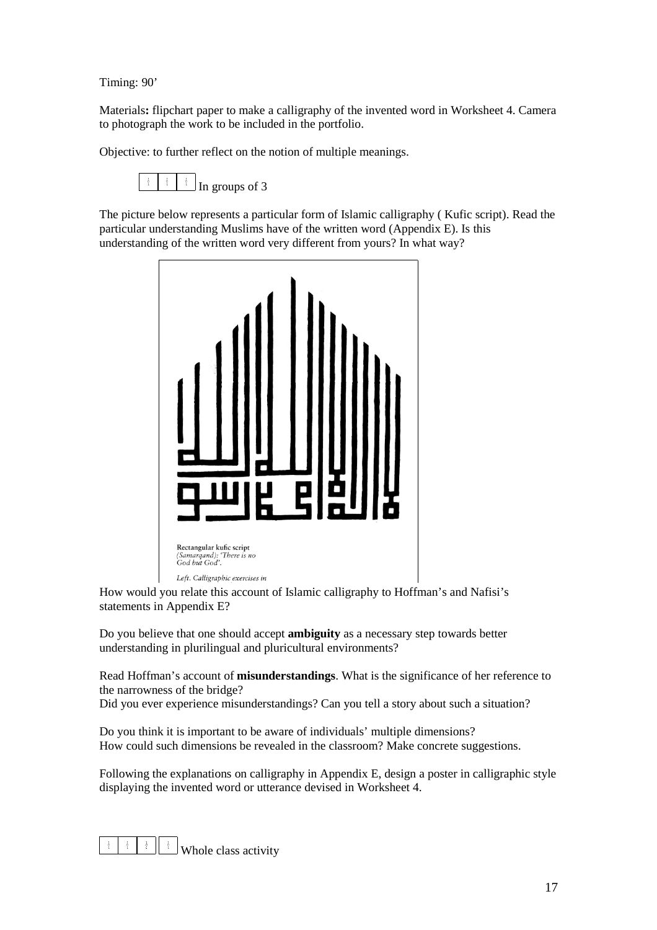Timing: 90'

Materials**:** flipchart paper to make a calligraphy of the invented word in Worksheet 4. Camera to photograph the work to be included in the portfolio.

Objective: to further reflect on the notion of multiple meanings.



The picture below represents a particular form of Islamic calligraphy ( Kufic script). Read the particular understanding Muslims have of the written word (Appendix E). Is this understanding of the written word very different from yours? In what way?



How would you relate this account of Islamic calligraphy to Hoffman's and Nafisi's statements in Appendix E?

Do you believe that one should accept **ambiguity** as a necessary step towards better understanding in plurilingual and pluricultural environments?

Read Hoffman's account of **misunderstandings**. What is the significance of her reference to the narrowness of the bridge?

Did you ever experience misunderstandings? Can you tell a story about such a situation?

Do you think it is important to be aware of individuals' multiple dimensions? How could such dimensions be revealed in the classroom? Make concrete suggestions.

Following the explanations on calligraphy in Appendix E, design a poster in calligraphic style displaying the invented word or utterance devised in Worksheet 4.

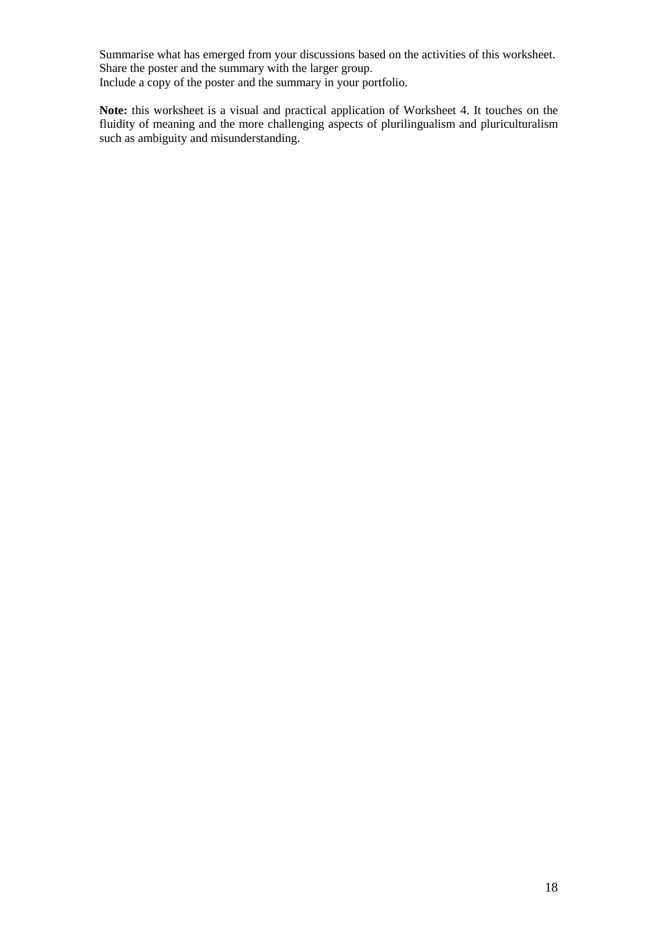Summarise what has emerged from your discussions based on the activities of this worksheet. Share the poster and the summary with the larger group. Include a copy of the poster and the summary in your portfolio.

**Note:** this worksheet is a visual and practical application of Worksheet 4. It touches on the fluidity of meaning and the more challenging aspects of plurilingualism and pluriculturalism such as ambiguity and misunderstanding.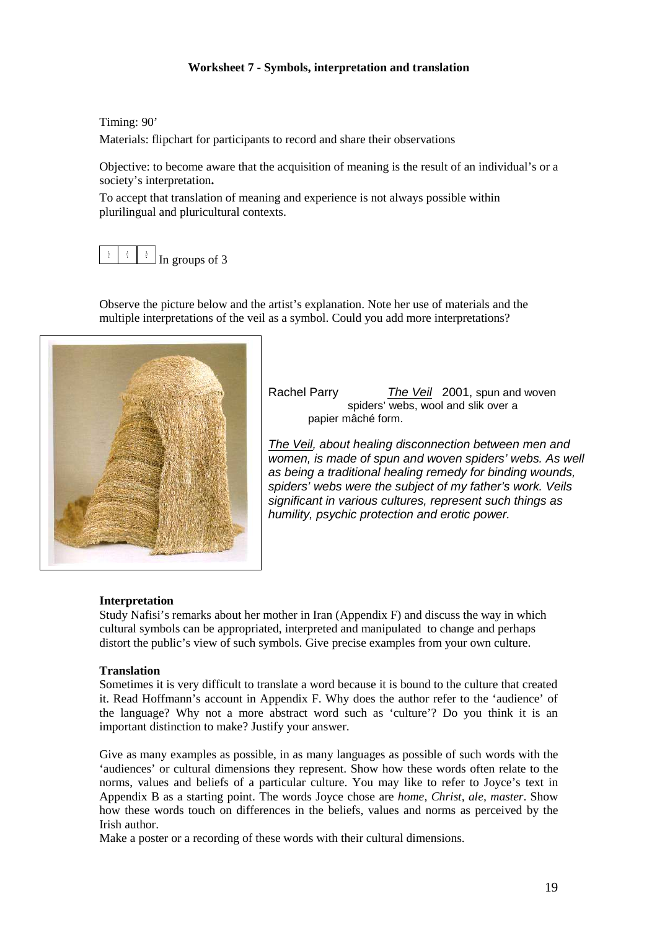# **Worksheet 7 - Symbols, interpretation and translation**

### Timing: 90'

Materials: flipchart for participants to record and share their observations

Objective: to become aware that the acquisition of meaning is the result of an individual's or a society's interpretation**.** 

To accept that translation of meaning and experience is not always possible within plurilingual and pluricultural contexts.



Observe the picture below and the artist's explanation. Note her use of materials and the multiple interpretations of the veil as a symbol. Could you add more interpretations?



Rachel Parry The Veil 2001, spun and woven spiders' webs, wool and slik over a papier mâché form.

The Veil, about healing disconnection between men and women, is made of spun and woven spiders' webs. As well as being a traditional healing remedy for binding wounds, spiders' webs were the subject of my father's work. Veils significant in various cultures, represent such things as humility, psychic protection and erotic power.

### **Interpretation**

Study Nafisi's remarks about her mother in Iran (Appendix F) and discuss the way in which cultural symbols can be appropriated, interpreted and manipulated to change and perhaps distort the public's view of such symbols. Give precise examples from your own culture.

### **Translation**

Sometimes it is very difficult to translate a word because it is bound to the culture that created it. Read Hoffmann's account in Appendix F. Why does the author refer to the 'audience' of the language? Why not a more abstract word such as 'culture'? Do you think it is an important distinction to make? Justify your answer.

Give as many examples as possible, in as many languages as possible of such words with the 'audiences' or cultural dimensions they represent. Show how these words often relate to the norms, values and beliefs of a particular culture. You may like to refer to Joyce's text in Appendix B as a starting point. The words Joyce chose are *home, Christ, ale, master*. Show how these words touch on differences in the beliefs, values and norms as perceived by the Irish author.

Make a poster or a recording of these words with their cultural dimensions.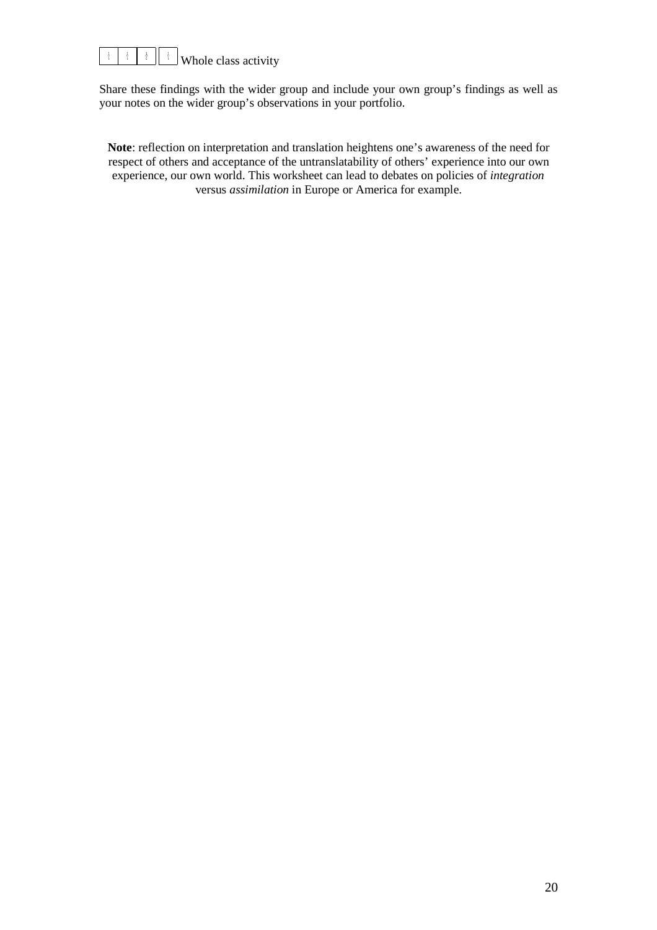

Share these findings with the wider group and include your own group's findings as well as your notes on the wider group's observations in your portfolio.

**Note**: reflection on interpretation and translation heightens one's awareness of the need for respect of others and acceptance of the untranslatability of others' experience into our own experience, our own world. This worksheet can lead to debates on policies of *integration* versus *assimilation* in Europe or America for example.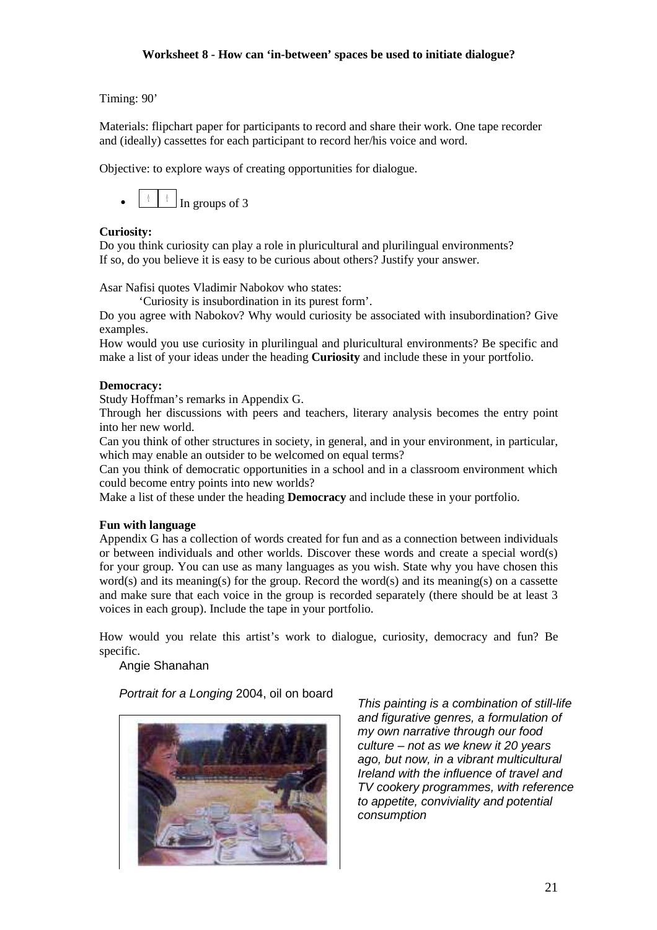Timing: 90'

Materials: flipchart paper for participants to record and share their work. One tape recorder and (ideally) cassettes for each participant to record her/his voice and word.

Objective: to explore ways of creating opportunities for dialogue.



# **Curiosity:**

Do you think curiosity can play a role in pluricultural and plurilingual environments? If so, do you believe it is easy to be curious about others? Justify your answer.

Asar Nafisi quotes Vladimir Nabokov who states:

'Curiosity is insubordination in its purest form'.

Do you agree with Nabokov? Why would curiosity be associated with insubordination? Give examples.

How would you use curiosity in plurilingual and pluricultural environments? Be specific and make a list of your ideas under the heading **Curiosity** and include these in your portfolio.

# **Democracy:**

Study Hoffman's remarks in Appendix G.

Through her discussions with peers and teachers, literary analysis becomes the entry point into her new world.

Can you think of other structures in society, in general, and in your environment, in particular, which may enable an outsider to be welcomed on equal terms?

Can you think of democratic opportunities in a school and in a classroom environment which could become entry points into new worlds?

Make a list of these under the heading **Democracy** and include these in your portfolio.

# **Fun with language**

Appendix G has a collection of words created for fun and as a connection between individuals or between individuals and other worlds. Discover these words and create a special word(s) for your group. You can use as many languages as you wish. State why you have chosen this word(s) and its meaning(s) for the group. Record the word(s) and its meaning(s) on a cassette and make sure that each voice in the group is recorded separately (there should be at least 3 voices in each group). Include the tape in your portfolio.

How would you relate this artist's work to dialogue, curiosity, democracy and fun? Be specific.

# Angie Shanahan

Portrait for a Longing 2004, oil on board



This painting is a combination of still-life and figurative genres, a formulation of my own narrative through our food culture – not as we knew it 20 years ago, but now, in a vibrant multicultural Ireland with the influence of travel and TV cookery programmes, with reference to appetite, conviviality and potential consumption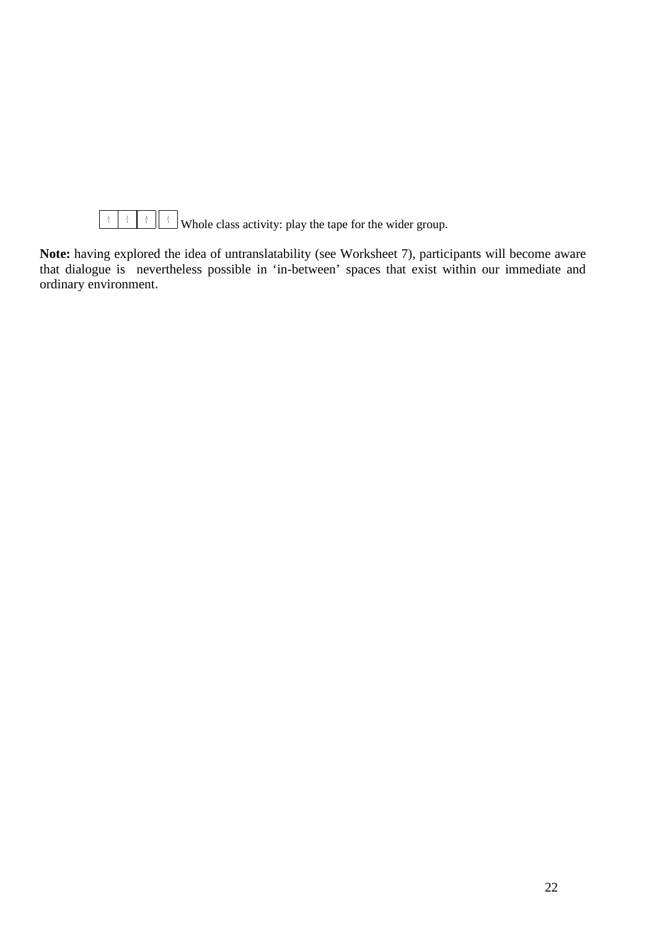$\left\lfloor \frac{1}{2} \right\rfloor$  Whole class activity: play the tape for the wider group.  $\mathcal{E}^+$ 

**Note:** having explored the idea of untranslatability (see Worksheet 7), participants will become aware that dialogue is nevertheless possible in 'in-between' spaces that exist within our immediate and ordinary environment.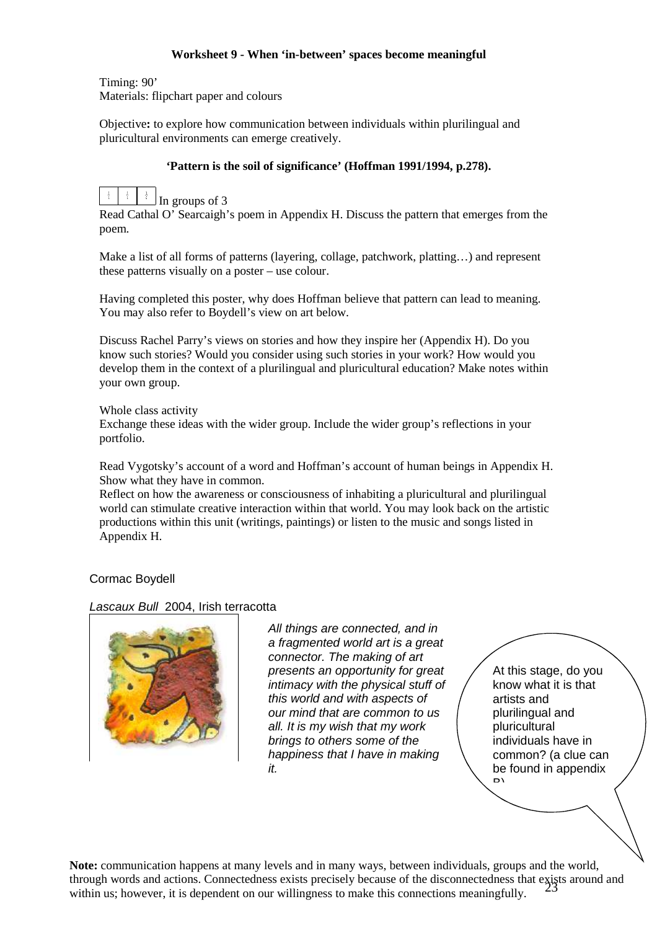# **Worksheet 9 - When 'in-between' spaces become meaningful**

Timing: 90' Materials: flipchart paper and colours

Objective**:** to explore how communication between individuals within plurilingual and pluricultural environments can emerge creatively.

# **'Pattern is the soil of significance' (Hoffman 1991/1994, p.278).**

### ł. ł. In groups of 3

Read Cathal O' Searcaigh's poem in Appendix H. Discuss the pattern that emerges from the poem.

Make a list of all forms of patterns (layering, collage, patchwork, platting...) and represent these patterns visually on a poster – use colour.

Having completed this poster, why does Hoffman believe that pattern can lead to meaning. You may also refer to Boydell's view on art below.

Discuss Rachel Parry's views on stories and how they inspire her (Appendix H). Do you know such stories? Would you consider using such stories in your work? How would you develop them in the context of a plurilingual and pluricultural education? Make notes within your own group.

# Whole class activity

Exchange these ideas with the wider group. Include the wider group's reflections in your portfolio.

Read Vygotsky's account of a word and Hoffman's account of human beings in Appendix H. Show what they have in common.

Reflect on how the awareness or consciousness of inhabiting a pluricultural and plurilingual world can stimulate creative interaction within that world. You may look back on the artistic productions within this unit (writings, paintings) or listen to the music and songs listed in Appendix H.

# Cormac Boydell

# Lascaux Bull 2004, Irish terracotta



All things are connected, and in a fragmented world art is a great connector. The making of art presents an opportunity for great intimacy with the physical stuff of this world and with aspects of our mind that are common to us all. It is my wish that my work brings to others some of the happiness that I have in making it.

At this stage, do you know what it is that artists and plurilingual and pluricultural individuals have in common? (a clue can be found in appendix B).

**Note:** communication happens at many levels and in many ways, between individuals, groups and the world, through words and actions. Connectedness exists precisely because of the disconnectedness that exists around and<br>within us: however, it is dependent on our willingness to make this connections meaningfully within us; however, it is dependent on our willingness to make this connections meaningfully.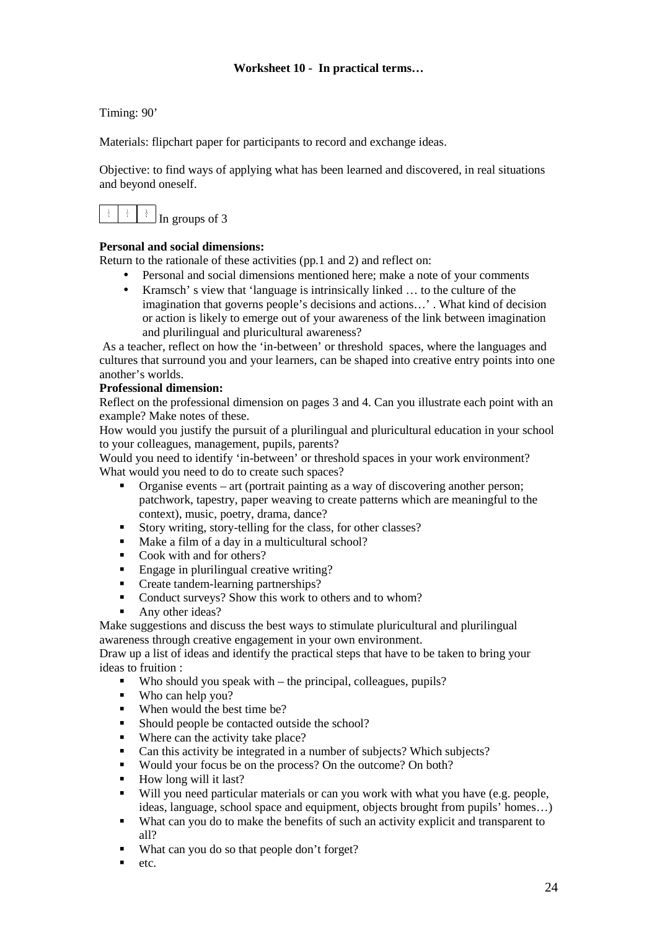# **Worksheet 10 - In practical terms…**

Timing: 90'

Materials: flipchart paper for participants to record and exchange ideas.

Objective: to find ways of applying what has been learned and discovered, in real situations and beyond oneself.

### $\frac{1}{1}$  In groups of 3  $\frac{1}{4}$

# **Personal and social dimensions:**

Return to the rationale of these activities (pp.1 and 2) and reflect on:

- Personal and social dimensions mentioned here; make a note of your comments
- Kramsch' s view that 'language is intrinsically linked … to the culture of the imagination that governs people's decisions and actions…' . What kind of decision or action is likely to emerge out of your awareness of the link between imagination and plurilingual and pluricultural awareness?

 As a teacher, reflect on how the 'in-between' or threshold spaces, where the languages and cultures that surround you and your learners, can be shaped into creative entry points into one another's worlds.

# **Professional dimension:**

Reflect on the professional dimension on pages 3 and 4. Can you illustrate each point with an example? Make notes of these.

How would you justify the pursuit of a plurilingual and pluricultural education in your school to your colleagues, management, pupils, parents?

Would you need to identify 'in-between' or threshold spaces in your work environment? What would you need to do to create such spaces?

- - Organise events – art (portrait painting as a way of discovering another person; patchwork, tapestry, paper weaving to create patterns which are meaningful to the context), music, poetry, drama, dance?
- -Story writing, story-telling for the class, for other classes?
- -Make a film of a day in a multicultural school?
- Cook with and for others?
- -Engage in plurilingual creative writing?
- Create tandem-learning partnerships?
- -Conduct surveys? Show this work to others and to whom?
- -Any other ideas?

Make suggestions and discuss the best ways to stimulate pluricultural and plurilingual awareness through creative engagement in your own environment.

Draw up a list of ideas and identify the practical steps that have to be taken to bring your ideas to fruition :

- Who should you speak with the principal, colleagues, pupils?
- -Who can help you?
- -When would the best time be?
- -Should people be contacted outside the school?
- -Where can the activity take place?
- -Can this activity be integrated in a number of subjects? Which subjects?
- -Would your focus be on the process? On the outcome? On both?
- -How long will it last?
- -Will you need particular materials or can you work with what you have (e.g. people, ideas, language, school space and equipment, objects brought from pupils' homes…)
- - What can you do to make the benefits of such an activity explicit and transparent to all?
- -What can you do so that people don't forget?
- etc.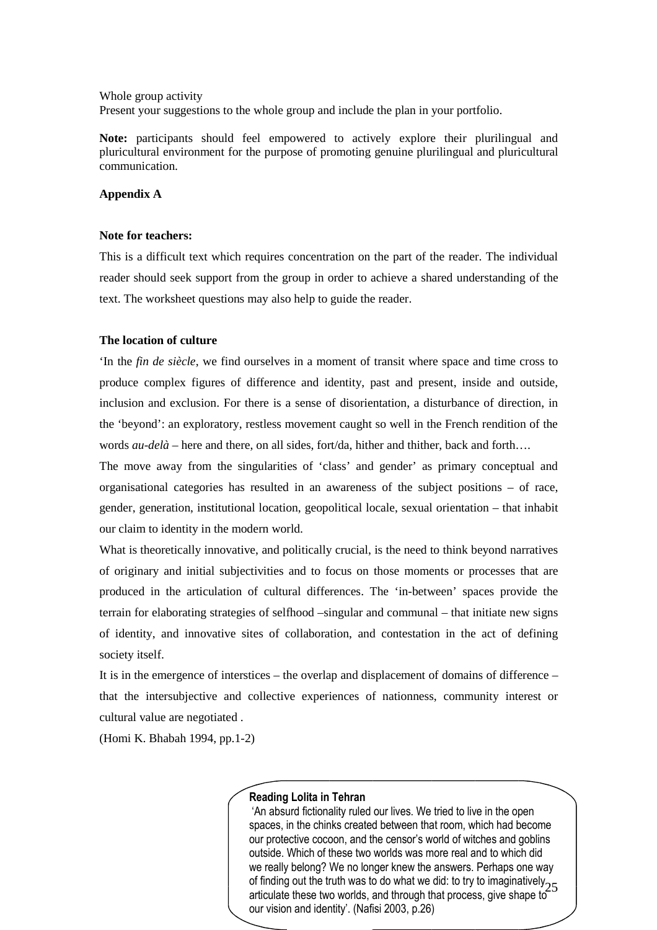Whole group activity Present your suggestions to the whole group and include the plan in your portfolio.

**Note:** participants should feel empowered to actively explore their plurilingual and pluricultural environment for the purpose of promoting genuine plurilingual and pluricultural communication.

### **Appendix A**

### **Note for teachers:**

This is a difficult text which requires concentration on the part of the reader. The individual reader should seek support from the group in order to achieve a shared understanding of the text. The worksheet questions may also help to guide the reader.

### **The location of culture**

'In the *fin de siècle*, we find ourselves in a moment of transit where space and time cross to produce complex figures of difference and identity, past and present, inside and outside, inclusion and exclusion. For there is a sense of disorientation, a disturbance of direction, in the 'beyond': an exploratory, restless movement caught so well in the French rendition of the words *au-delà* – here and there, on all sides, fort/da, hither and thither, back and forth….

The move away from the singularities of 'class' and gender' as primary conceptual and organisational categories has resulted in an awareness of the subject positions – of race, gender, generation, institutional location, geopolitical locale, sexual orientation – that inhabit our claim to identity in the modern world.

What is theoretically innovative, and politically crucial, is the need to think beyond narratives of originary and initial subjectivities and to focus on those moments or processes that are produced in the articulation of cultural differences. The 'in-between' spaces provide the terrain for elaborating strategies of selfhood –singular and communal – that initiate new signs of identity, and innovative sites of collaboration, and contestation in the act of defining society itself.

It is in the emergence of interstices – the overlap and displacement of domains of difference – that the intersubjective and collective experiences of nationness, community interest or cultural value are negotiated .

(Homi K. Bhabah 1994, pp.1-2)

### Reading Lolita in Tehran

 'An absurd fictionality ruled our lives. We tried to live in the open spaces, in the chinks created between that room, which had become our protective cocoon, and the censor's world of witches and goblins outside. Which of these two worlds was more real and to which did we really belong? We no longer knew the answers. Perhaps one way of finding out the truth was to do what we did: to try to imaginatively  $25$ articulate these two worlds, and through that process, give shape to our vision and identity'. (Nafisi 2003, p.26)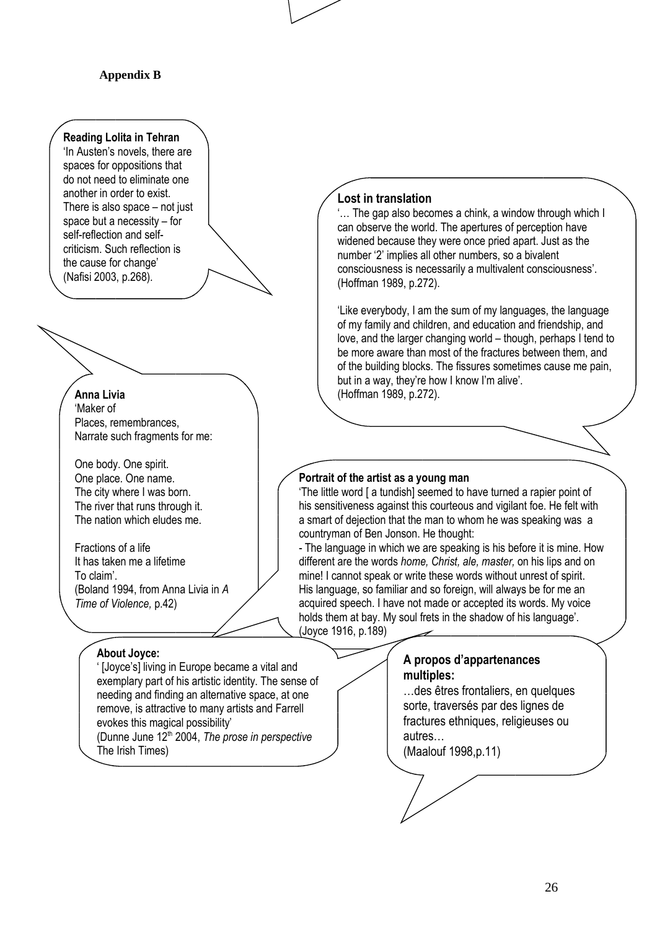# **Appendix B**

# Reading Lolita in Tehran

'In Austen's novels, there are spaces for oppositions that do not need to eliminate one another in order to exist. There is also space – not just space but a necessity – for self-reflection and selfcriticism. Such reflection is the cause for change' (Nafisi 2003, p.268).

'Maker of Places, remembrances, Narrate such fragments for me:

One body. One spirit. One place. One name. The city where I was born. The river that runs through it. The nation which eludes me.

Fractions of a life It has taken me a lifetime To claim'. (Boland 1994, from Anna Livia in A Time of Violence, p.42)

# Lost in translation

'… The gap also becomes a chink, a window through which I can observe the world. The apertures of perception have widened because they were once pried apart. Just as the number '2' implies all other numbers, so a bivalent consciousness is necessarily a multivalent consciousness'. (Hoffman 1989, p.272).

'Like everybody, I am the sum of my languages, the language of my family and children, and education and friendship, and love, and the larger changing world – though, perhaps I tend to be more aware than most of the fractures between them, and of the building blocks. The fissures sometimes cause me pain, but in a way, they're how I know I'm alive'. Anna Livia **Anna Livia Anna Livia Anna Livia Anna Livia Anna Livia Anna Livia Anna Livia Anna Livia Anna Livia Anna Livia Anna Livia Anna Livia Anna Livia Anna Livia Anna Livia Anna Livia An** 

# Portrait of the artist as a young man

'The little word [ a tundish] seemed to have turned a rapier point of his sensitiveness against this courteous and vigilant foe. He felt with a smart of dejection that the man to whom he was speaking was a countryman of Ben Jonson. He thought:

- The language in which we are speaking is his before it is mine. How different are the words home, Christ, ale, master, on his lips and on mine! I cannot speak or write these words without unrest of spirit. His language, so familiar and so foreign, will always be for me an acquired speech. I have not made or accepted its words. My voice holds them at bay. My soul frets in the shadow of his language'. (Joyce 1916, p.189)

# About Joyce:

' [Joyce's] living in Europe became a vital and exemplary part of his artistic identity. The sense of needing and finding an alternative space, at one remove, is attractive to many artists and Farrell evokes this magical possibility' (Dunne June  $12<sup>th</sup>$  2004, The prose in perspective

The Irish Times)

# A propos d'appartenances multiples:

…des êtres frontaliers, en quelques sorte, traversés par des lignes de fractures ethniques, religieuses ou autres…

(Maalouf 1998,p.11)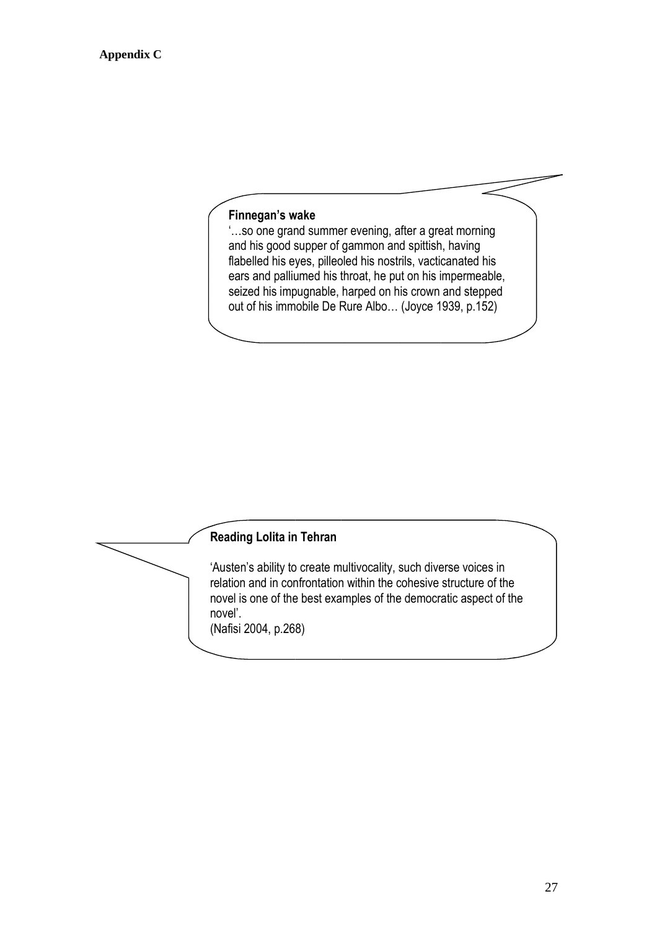# Finnegan's wake

'…so one grand summer evening, after a great morning and his good supper of gammon and spittish, having flabelled his eyes, pilleoled his nostrils, vacticanated his ears and palliumed his throat, he put on his impermeable, seized his impugnable, harped on his crown and stepped out of his immobile De Rure Albo… (Joyce 1939, p.152)

# Reading Lolita in Tehran

'Austen's ability to create multivocality, such diverse voices in relation and in confrontation within the cohesive structure of the novel is one of the best examples of the democratic aspect of the novel'.

(Nafisi 2004, p.268)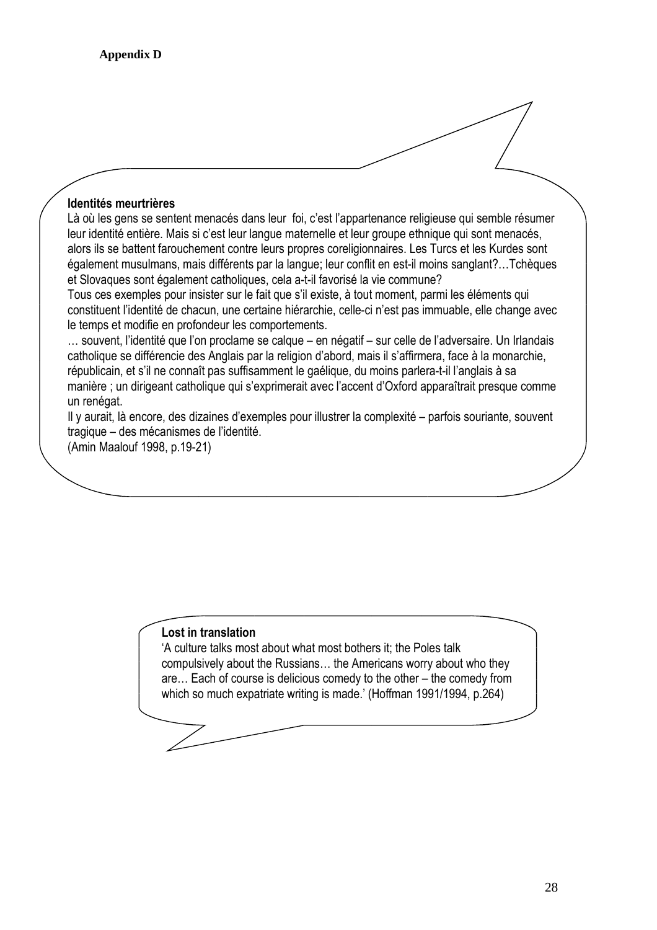# Identités meurtrières

Là où les gens se sentent menacés dans leur foi, c'est l'appartenance religieuse qui semble résumer leur identité entière. Mais si c'est leur langue maternelle et leur groupe ethnique qui sont menacés, alors ils se battent farouchement contre leurs propres coreligionnaires. Les Turcs et les Kurdes sont également musulmans, mais différents par la langue; leur conflit en est-il moins sanglant?…Tchèques et Slovaques sont également catholiques, cela a-t-il favorisé la vie commune?

Tous ces exemples pour insister sur le fait que s'il existe, à tout moment, parmi les éléments qui constituent l'identité de chacun, une certaine hiérarchie, celle-ci n'est pas immuable, elle change avec le temps et modifie en profondeur les comportements.

… souvent, l'identité que l'on proclame se calque – en négatif – sur celle de l'adversaire. Un Irlandais catholique se différencie des Anglais par la religion d'abord, mais il s'affirmera, face à la monarchie, républicain, et s'il ne connaît pas suffisamment le gaélique, du moins parlera-t-il l'anglais à sa manière ; un dirigeant catholique qui s'exprimerait avec l'accent d'Oxford apparaîtrait presque comme un renégat.

Il y aurait, là encore, des dizaines d'exemples pour illustrer la complexité – parfois souriante, souvent tragique – des mécanismes de l'identité.

(Amin Maalouf 1998, p.19-21)

# Lost in translation

'A culture talks most about what most bothers it; the Poles talk compulsively about the Russians… the Americans worry about who they are… Each of course is delicious comedy to the other – the comedy from which so much expatriate writing is made.' (Hoffman 1991/1994, p.264)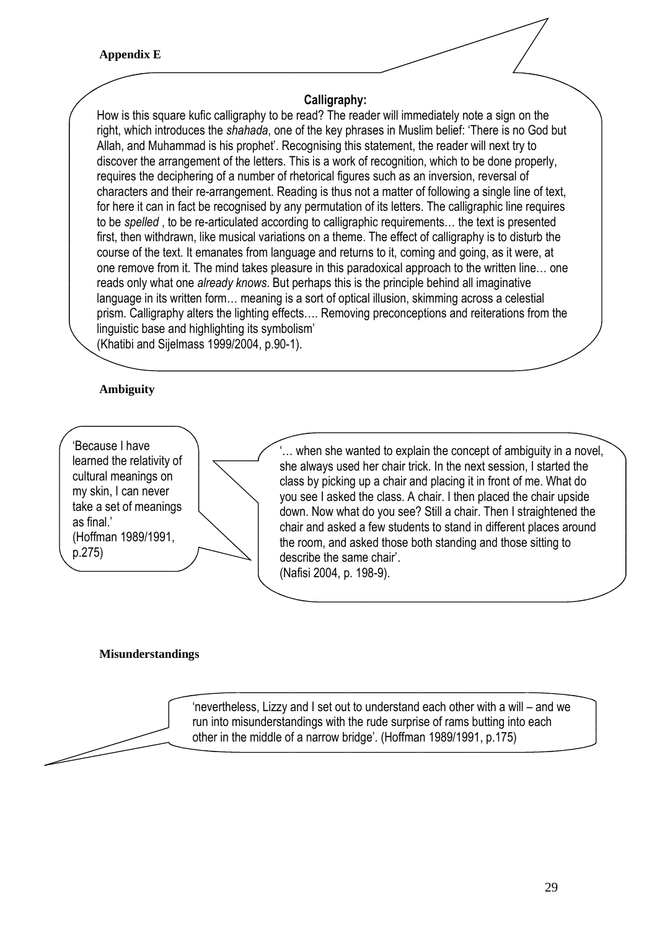# Calligraphy:

How is this square kufic calligraphy to be read? The reader will immediately note a sign on the right, which introduces the shahada, one of the key phrases in Muslim belief: 'There is no God but Allah, and Muhammad is his prophet'. Recognising this statement, the reader will next try to discover the arrangement of the letters. This is a work of recognition, which to be done properly, requires the deciphering of a number of rhetorical figures such as an inversion, reversal of characters and their re-arrangement. Reading is thus not a matter of following a single line of text, for here it can in fact be recognised by any permutation of its letters. The calligraphic line requires to be spelled , to be re-articulated according to calligraphic requirements… the text is presented first, then withdrawn, like musical variations on a theme. The effect of calligraphy is to disturb the course of the text. It emanates from language and returns to it, coming and going, as it were, at one remove from it. The mind takes pleasure in this paradoxical approach to the written line… one reads only what one already knows. But perhaps this is the principle behind all imaginative language in its written form… meaning is a sort of optical illusion, skimming across a celestial prism. Calligraphy alters the lighting effects…. Removing preconceptions and reiterations from the linguistic base and highlighting its symbolism' (Khatibi and Sijelmass 1999/2004, p.90-1).

# **Ambiguity**

'Because I have learned the relativity of cultural meanings on my skin, I can never take a set of meanings as final.' (Hoffman 1989/1991, p.275)

'… when she wanted to explain the concept of ambiguity in a novel, she always used her chair trick. In the next session, I started the class by picking up a chair and placing it in front of me. What do you see I asked the class. A chair. I then placed the chair upside down. Now what do you see? Still a chair. Then I straightened the chair and asked a few students to stand in different places around the room, and asked those both standing and those sitting to describe the same chair'. (Nafisi 2004, p. 198-9).

# **Misunderstandings**

'nevertheless, Lizzy and I set out to understand each other with a will – and we run into misunderstandings with the rude surprise of rams butting into each other in the middle of a narrow bridge'. (Hoffman 1989/1991, p.175)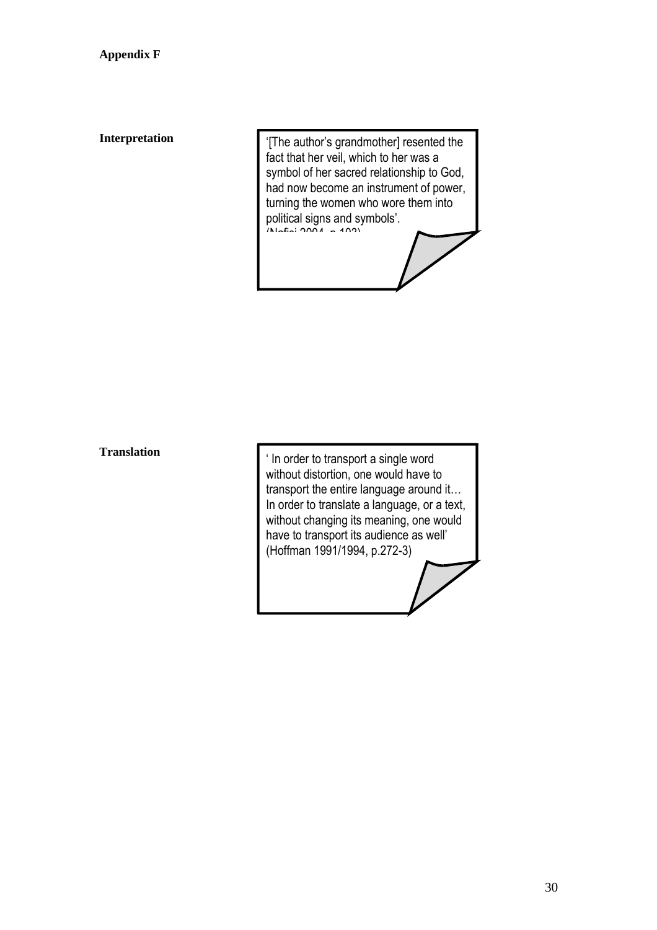# **Interpretation**

'[The author's grandmother] resented the fact that her veil, which to her was a symbol of her sacred relationship to God, had now become an instrument of power, turning the women who wore them into political signs and symbols'.  $(1.1 - 1.2)$ ;  $2.0004$ ,  $-103$ 

# **Translation**

' In order to transport a single word without distortion, one would have to transport the entire language around it… In order to translate a language, or a text, without changing its meaning, one would have to transport its audience as well' (Hoffman 1991/1994, p.272-3)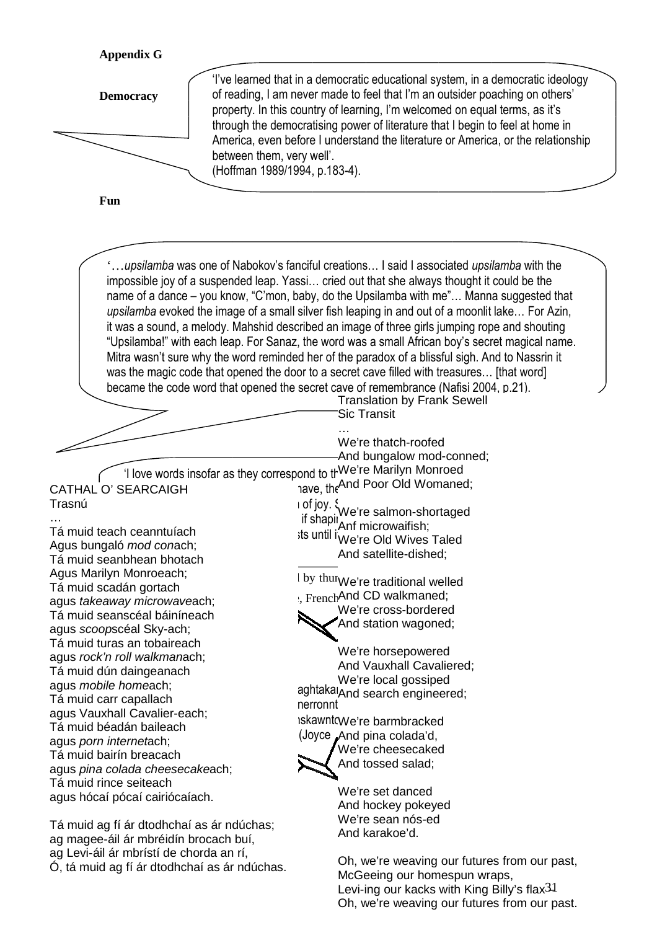**Appendix G Democracy Fun** Thyn Monroeach;<br>Seadán gortach agus *takeaway microwave*ach; entitled as the series of the series of the series of the series of the series of the Tá muid rince seiteach aghtaka $_{\mathsf{And}}$  search engineered; nerronnt nskawntoWe're barmbracked (Joyce And pina colada'd, 'I love words insofar as they correspond to th<sup>t We're</sup> Marilyn Monroed EARCAIGH may be made, the more did Womaned; of joy. {<br>تو مارچ الله عن الله عن الله عن الله عن الله عليه الله عليه الله عليه الله عن الله عن الله عن الله ع if shaping it is salinon-shortaged.<br>Anf microwaifish;<br>it is much a new more to a new more to a new more to a new more to a new more to a new more to a new more than i ceanntuiach<br>mod conach: is until iwe're Old Wives Taled Agus bungaló *mod con*ach;<br>T 'I've learned that in a democratic educational system, in a democratic ideology of reading, I am never made to feel that I'm an outsider poaching on others' property. In this country of learning, I'm welcomed on equal terms, as it's through the democratising power of literature that I begin to feel at home in America, even before I understand the literature or America, or the relationship between them, very well'. (Hoffman 1989/1994, p.183-4). ...upsilamba was one of Nabokov's fanciful creations... I said I associated upsilamba with the impossible joy of a suspended leap. Yassi… cried out that she always thought it could be the name of a dance – you know, "C'mon, baby, do the Upsilamba with me"… Manna suggested that upsilamba evoked the image of a small silver fish leaping in and out of a moonlit lake… For Azin, it was a sound, a melody. Mahshid described an image of three girls jumping rope and shouting "Upsilamba!" with each leap. For Sanaz, the word was a small African boy's secret magical name. Mitra wasn't sure why the word reminded her of the paradox of a blissful sigh. And to Nassrin it was the magic code that opened the door to a secret cave filled with treasures… [that word] became the code word that opened the secret cave of remembrance (Nafisi 2004, p.21). CATHAL O' SEARCAIGH Trasnú … Tá muid teach ceanntuíach Tá muid seanbhean bhotach Agus Marilyn Monroeach; Tá muid scadán gortach Tá muid seanscéal báiníneach agus scoopscéal Sky-ach; Tá muid turas an tobaireach agus rock'n roll walkmanach; Tá muid dún daingeanach agus mobile homeach; Tá muid carr capallach agus Vauxhall Cavalier-each; Tá muid béadán baileach agus porn internetach; Tá muid bairín breacach agus pina colada cheesecakeach; agus hócaí pócaí cairiócaíach. Tá muid ag fí ár dtodhchaí as ár ndúchas; ag magee-áil ár mbréidín brocach buí, ag Levi-áil ár mbrístí de chorda an rí, Ó, tá muid ag fí ár dtodhchaí as ár ndúchas. Translation by Frank Sewell Sic Transit … We're thatch-roofed And bungalow mod-conned; And satellite-dished; FrenchAnd CD walkmaned: We're cross-bordered And station wagoned; We're horsepowered And Vauxhall Cavaliered; We're local gossiped We're cheesecaked And tossed salad; We're set danced And hockey pokeyed We're sean nós-ed And karakoe'd. Oh, we're weaving our futures from our past, McGeeing our homespun wraps, Levi-ing our kacks with King Billy's flax $31$ 

Oh, we're weaving our futures from our past.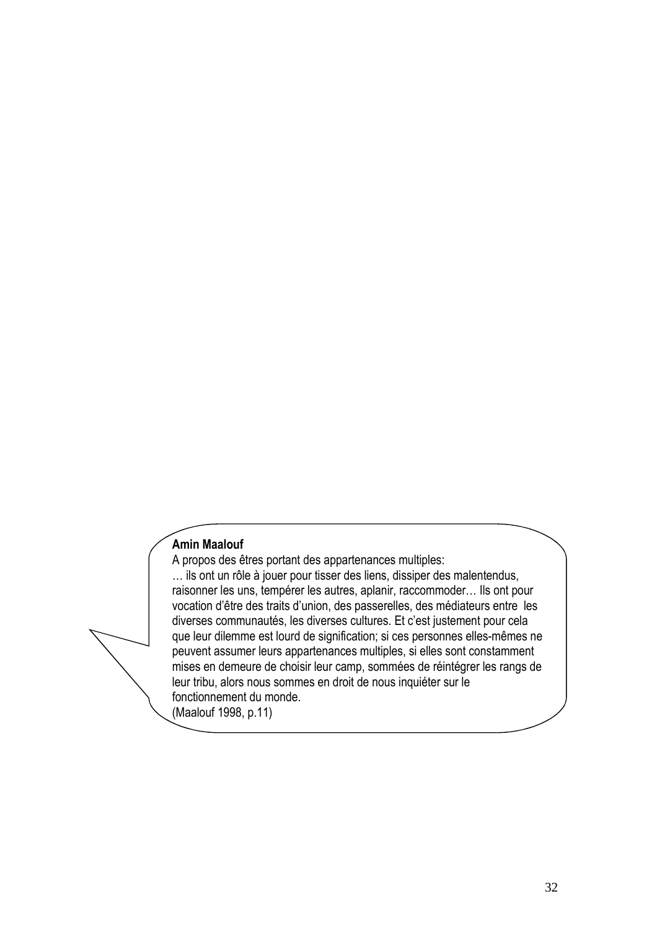# Amin Maalouf

A propos des êtres portant des appartenances multiples:

… ils ont un rôle à jouer pour tisser des liens, dissiper des malentendus, raisonner les uns, tempérer les autres, aplanir, raccommoder… Ils ont pour vocation d'être des traits d'union, des passerelles, des médiateurs entre les diverses communautés, les diverses cultures. Et c'est justement pour cela que leur dilemme est lourd de signification; si ces personnes elles-mêmes ne peuvent assumer leurs appartenances multiples, si elles sont constamment mises en demeure de choisir leur camp, sommées de réintégrer les rangs de leur tribu, alors nous sommes en droit de nous inquiéter sur le fonctionnement du monde.

(Maalouf 1998, p.11)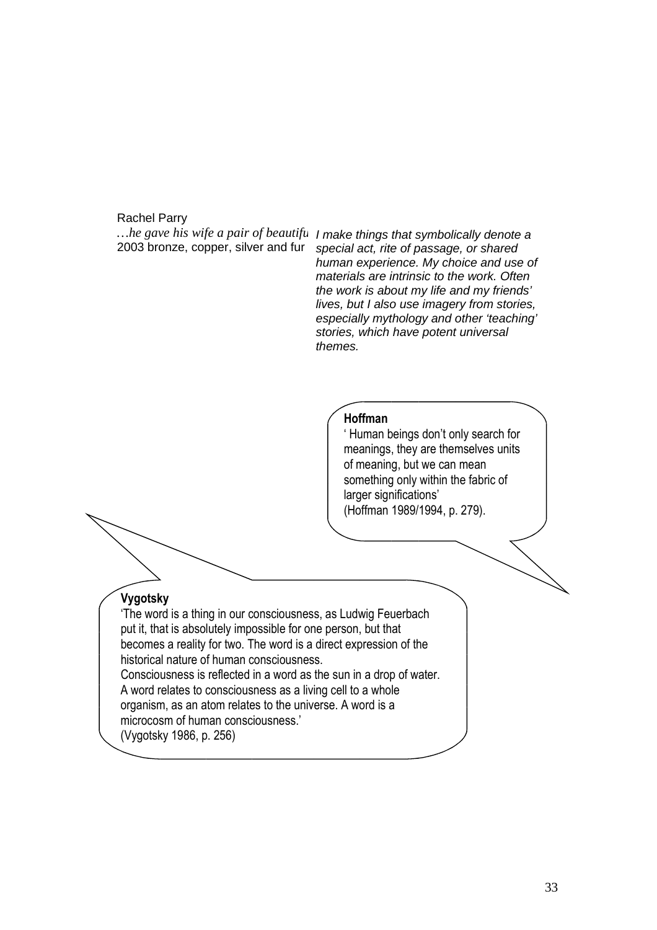# Rachel Parry

2003 bronze, copper, silver and fur

…he gave his wife a pair of beautifu I make things that symbolically denote a special act, rite of passage, or shared human experience. My choice and use of materials are intrinsic to the work. Often the work is about my life and my friends' lives, but I also use imagery from stories, especially mythology and other 'teaching' stories, which have potent universal themes.

# Hoffman

' Human beings don't only search for meanings, they are themselves units of meaning, but we can mean something only within the fabric of larger significations' (Hoffman 1989/1994, p. 279).

# Vygotsky

'The word is a thing in our consciousness, as Ludwig Feuerbach put it, that is absolutely impossible for one person, but that becomes a reality for two. The word is a direct expression of the historical nature of human consciousness.

Consciousness is reflected in a word as the sun in a drop of water. A word relates to consciousness as a living cell to a whole organism, as an atom relates to the universe. A word is a microcosm of human consciousness.'

(Vygotsky 1986, p. 256)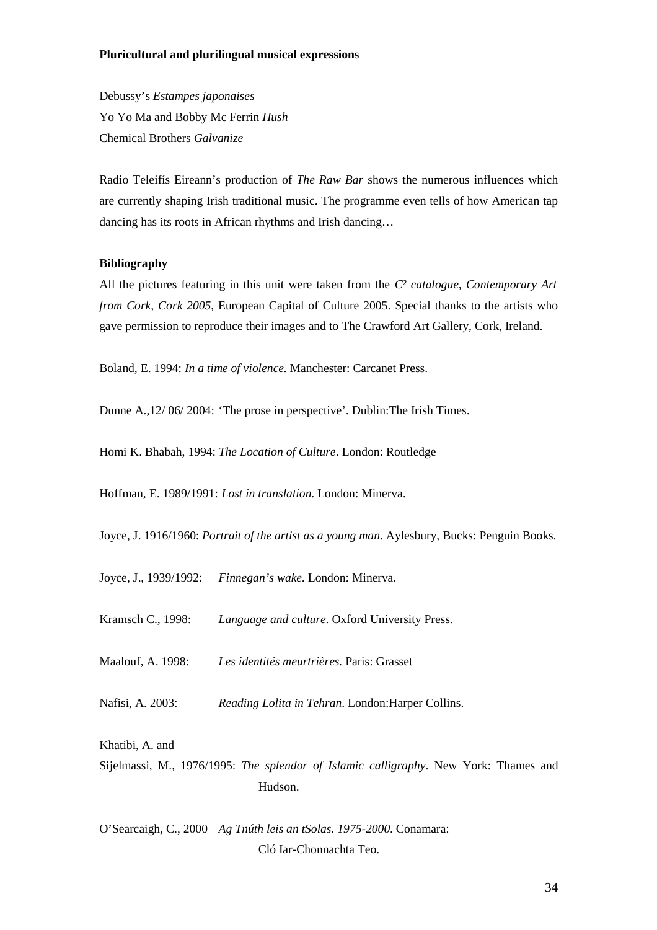### **Pluricultural and plurilingual musical expressions**

Debussy's *Estampes japonaises* Yo Yo Ma and Bobby Mc Ferrin *Hush* Chemical Brothers *Galvanize*

Radio Teleifís Eireann's production of *The Raw Bar* shows the numerous influences which are currently shaping Irish traditional music. The programme even tells of how American tap dancing has its roots in African rhythms and Irish dancing…

### **Bibliography**

All the pictures featuring in this unit were taken from the *C² catalogue, Contemporary Art from Cork, Cork 2005*, European Capital of Culture 2005. Special thanks to the artists who gave permission to reproduce their images and to The Crawford Art Gallery, Cork, Ireland.

Boland, E. 1994: *In a time of violence.* Manchester: Carcanet Press.

Dunne A.,12/ 06/ 2004: 'The prose in perspective'. Dublin:The Irish Times.

Homi K. Bhabah, 1994: *The Location of Culture*. London: Routledge

Hoffman, E. 1989/1991: *Lost in translation*. London: Minerva.

Joyce, J. 1916/1960: *Portrait of the artist as a young man*. Aylesbury, Bucks: Penguin Books.

Joyce, J., 1939/1992: *Finnegan's wake*. London: Minerva.

Kramsch C., 1998: *Language and culture*. Oxford University Press.

Maalouf, A. 1998: *Les identités meurtrières.* Paris: Grasset

Nafisi, A. 2003: *Reading Lolita in Tehran*. London:Harper Collins.

Khatibi, A. and

Sijelmassi, M., 1976/1995: *The splendor of Islamic calligraphy*. New York: Thames and Hudson.

O'Searcaigh, C., 2000 *Ag Tnúth leis an tSolas. 1975-2000*. Conamara: Cló Iar-Chonnachta Teo.